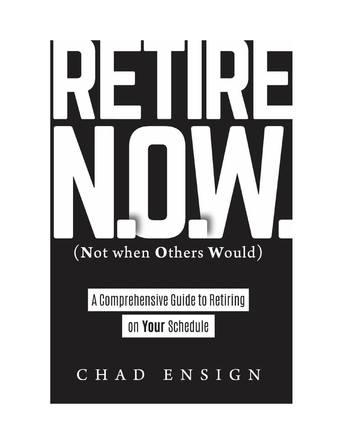# (Not when Others Would)

A Comprehensive Guide to Retiring

on Your Schedule

## CHAD ENSIGN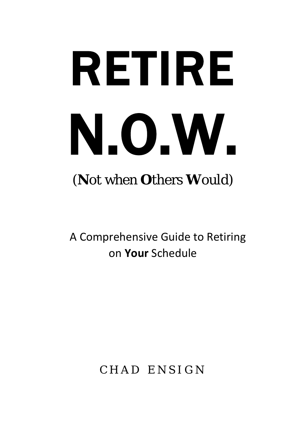# RETIRE N.O.W. (Not when Others Would)

A Comprehensive Guide to Retiring on Your Schedule

CHAD ENSIGN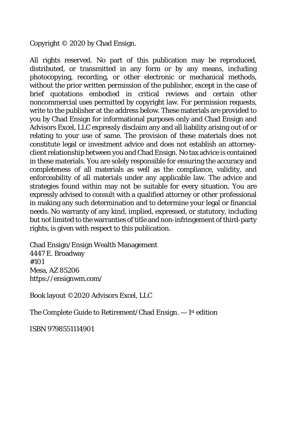Copyright © 2020 by Chad Ensign.

All rights reserved. No part of this publication may be reproduced, distributed, or transmitted in any form or by any means, including photocopying, recording, or other electronic or mechanical methods, without the prior written permission of the publisher, except in the case of brief quotations embodied in critical reviews and certain other noncommercial uses permitted by copyright law. For permission requests, write to the publisher at the address below. These materials are provided to you by Chad Ensign for informational purposes only and Chad Ensign and Advisors Excel, LLC expressly disclaim any and all liability arising out of or relating to your use of same. The provision of these materials does not constitute legal or investment advice and does not establish an attorneyclient relationship between you and Chad Ensign. No tax advice is contained in these materials. You are solely responsible for ensuring the accuracy and completeness of all materials as well as the compliance, validity, and enforceability of all materials under any applicable law. The advice and strategies found within may not be suitable for every situation. You are expressly advised to consult with a qualified attorney or other professional in making any such determination and to determine your legal or financial needs. No warranty of any kind, implied, expressed, or statutory, including but not limited to the warranties of title and non-infringement of third-party rights, is given with respect to this publication.

Chad Ensign/Ensign Wealth Management 4447 E. Broadway #101 Mesa, AZ 85206 https://ensignwm.com/

Book layout ©2020 Advisors Excel, LLC

The Complete Guide to Retirement/Chad Ensign. — 1st edition

ISBN 9798551114901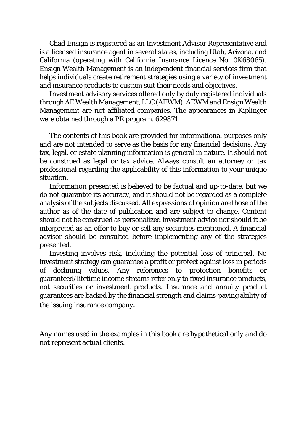Chad Ensign is registered as an Investment Advisor Representative and is a licensed insurance agent in several states, including Utah, Arizona, and California (operating with California Insurance Licence No. 0K68065). Ensign Wealth Management is an independent financial services firm that helps individuals create retirement strategies using a variety of investment and insurance products to custom suit their needs and objectives.

Investment advisory services offered only by duly registered individuals through AE Wealth Management, LLC (AEWM). AEWM and Ensign Wealth Management are not affiliated companies. The appearances in Kiplinger were obtained through a PR program. 629871

The contents of this book are provided for informational purposes only and are not intended to serve as the basis for any financial decisions. Any tax, legal, or estate planning information is general in nature. It should not be construed as legal or tax advice. Always consult an attorney or tax professional regarding the applicability of this information to your unique situation.

Information presented is believed to be factual and up-to-date, but we do not guarantee its accuracy, and it should not be regarded as a complete analysis of the subjects discussed. All expressions of opinion are those of the author as of the date of publication and are subject to change. Content should not be construed as personalized investment advice nor should it be interpreted as an offer to buy or sell any securities mentioned. A financial advisor should be consulted before implementing any of the strategies presented.

Investing involves risk, including the potential loss of principal. No investment strategy can guarantee a profit or protect against loss in periods of declining values. Any references to protection benefits or guaranteed/lifetime income streams refer only to fixed insurance products, not securities or investment products. Insurance and annuity product guarantees are backed by the financial strength and claims-paying ability of the issuing insurance company.

*Any names used in the examples in this book are hypothetical only and do not represent actual clients.*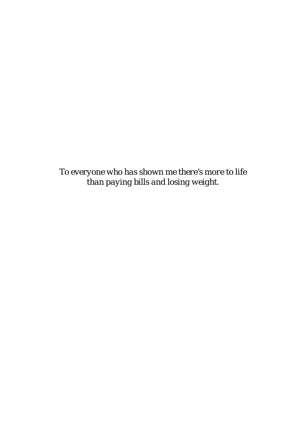*To everyone who has shown me there's more to life than paying bills and losing weight.*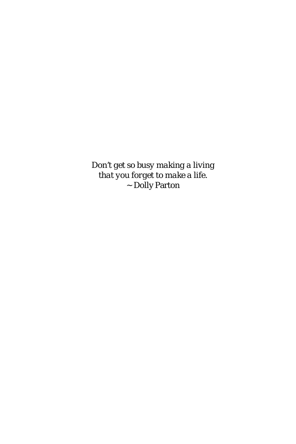*Don't get so busy making a living that you forget to make a life.* ~ Dolly Parton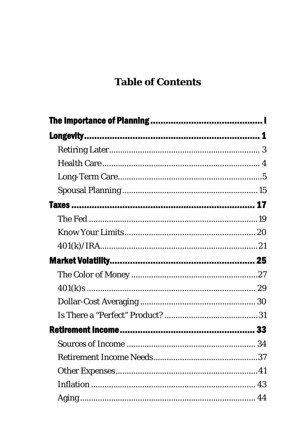## **Table of Contents**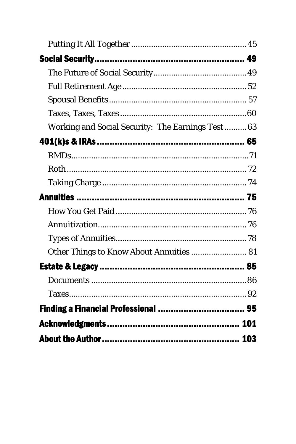| Working and Social Security: The Earnings Test 63 |  |
|---------------------------------------------------|--|
|                                                   |  |
|                                                   |  |
|                                                   |  |
|                                                   |  |
|                                                   |  |
|                                                   |  |
|                                                   |  |
|                                                   |  |
| Other Things to Know About Annuities  81          |  |
|                                                   |  |
|                                                   |  |
|                                                   |  |
|                                                   |  |
|                                                   |  |
|                                                   |  |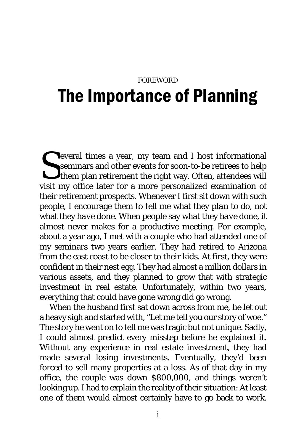## <span id="page-11-0"></span>FOREWORD The Importance of Planning

everal times a year, my team and I host informational seminars and other events for soon-to-be retirees to help them plan retirement the right way. Often, attendees will visit my office later for a more personalized examination of their retirement prospects. Whenever I first sit down with such people, I encourage them to tell me what they *plan to do*, not what they *have done*. When people say what they *have done*, it almost never makes for a productive meeting. For example, about a year ago, I met with a couple who had attended one of my seminars two years earlier. They had retired to Arizona from the east coast to be closer to their kids. At first, they were confident in their nest egg. They had almost a million dollars in various assets, and they planned to grow that with strategic investment in real estate. Unfortunately, within two years, everything that could have gone wrong *did* go wrong. S<sub>visit</sub>

When the husband first sat down across from me, he let out a heavy sigh and started with, "Let me tell you our story of woe." The story he went on to tell me was tragic but not unique. Sadly, I could almost predict every misstep before he explained it. Without any experience in real estate investment, they had made several losing investments. Eventually, they'd been forced to sell many properties at a loss. As of that day in my office, the couple was down \$800,000, and things weren't looking up. I had to explain the reality of their situation: At least one of them would almost certainly have to go back to work.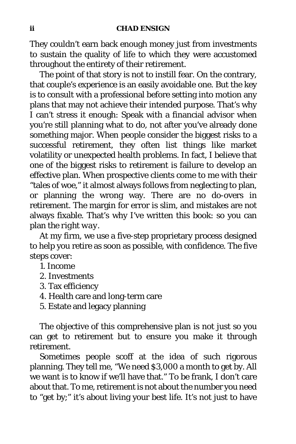They couldn't earn back enough money just from investments to sustain the quality of life to which they were accustomed throughout the entirety of their retirement.

The point of that story is not to instill fear. On the contrary, that couple's experience is an easily avoidable one. But the key is to consult with a professional before setting into motion any plans that may not achieve their intended purpose. That's why I can't stress it enough: Speak with a financial advisor when you're still planning what to do, not after you've already done something major. When people consider the biggest risks to a successful retirement, they often list things like market volatility or unexpected health problems. In fact, I believe that one of the biggest risks to retirement is failure to develop an effective plan. When prospective clients come to me with their "tales of woe," it almost always follows from neglecting to plan, or planning the wrong way. There are no do-overs in retirement. The margin for error is slim, and mistakes are not always fixable. That's why I've written this book: so you can plan *the right way*.

At my firm, we use a five-step proprietary process designed to help you retire as soon as possible, with confidence. The five steps cover:

- 1. Income
- 2. Investments
- 3. Tax efficiency
- 4. Health care and long-term care
- 5. Estate and legacy planning

The objective of this comprehensive plan is not just so you can get *to* retirement but to ensure you make it *through* retirement.

Sometimes people scoff at the idea of such rigorous planning. They tell me, "We need \$3,000 a month to get by. All we want is to know if we'll have that." To be frank, I don't care about that. To me, retirement is not about the number you need to "get by;" it's about living your best life. It's not just to have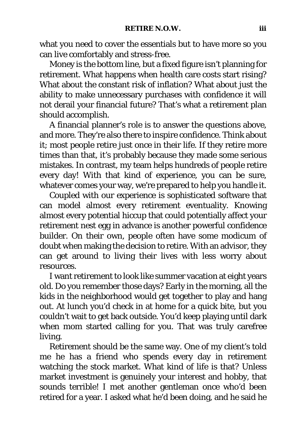what you need to cover the essentials but to have more so you can live comfortably and stress-free.

Money is the bottom line, but a fixed figure isn't planning for retirement. What happens when health care costs start rising? What about the constant risk of inflation? What about just the ability to make unnecessary purchases with confidence it will not derail your financial future? That's what a retirement plan should accomplish.

A financial planner's role is to answer the questions above, and more. They're also there to inspire confidence. Think about it; most people retire just once in their life. If they retire more times than that, it's probably because they made some serious mistakes. In contrast, my team helps hundreds of people retire every day! With that kind of experience, you can be sure, whatever comes your way, we're prepared to help you handle it.

Coupled with our experience is sophisticated software that can model almost every retirement eventuality. Knowing almost every potential hiccup that could potentially affect your retirement nest egg in advance is another powerful confidence builder. On their own, people often have some modicum of doubt when making the decision to retire. With an advisor, they can get around to living their lives with less worry about resources.

I want retirement to look like summer vacation at eight years old. Do you remember those days? Early in the morning, all the kids in the neighborhood would get together to play and hang out. At lunch you'd check in at home for a quick bite, but you couldn't wait to get back outside. You'd keep playing until dark when mom started calling for you. That was truly carefree living.

Retirement should be the same way. One of my client's told me he has a friend who spends every day in retirement watching the stock market. What kind of life is that? Unless market investment is genuinely your interest and hobby, that sounds terrible! I met another gentleman once who'd been retired for a year. I asked what he'd been doing, and he said he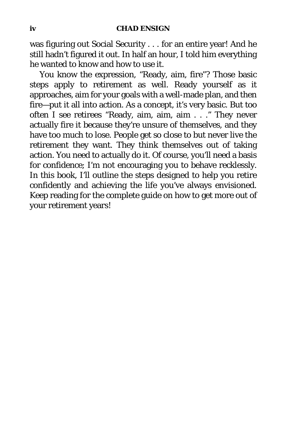was figuring out Social Security . . . for an entire year! And he still hadn't figured it out. In half an hour, I told him everything he wanted to know and how to use it.

You know the expression, "Ready, aim, fire"? Those basic steps apply to retirement as well. Ready yourself as it approaches, aim for your goals with a well-made plan, and then fire—put it all into action. As a concept, it's very basic. But too often I see retirees "Ready, aim, aim, aim . . ." They never actually fire it because they're unsure of themselves, and they have too much to lose. People get so close to but never live the retirement they want. They think themselves out of taking action. You need to actually do it. Of course, you'll need a basis for confidence; I'm not encouraging you to behave recklessly. In this book, I'll outline the steps designed to help you retire confidently and achieving the life you've always envisioned. Keep reading for the complete guide on how to get more out of your retirement years!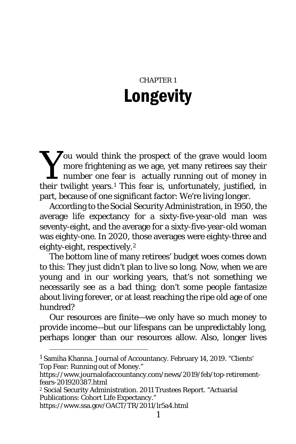## CHAPTER 1 Longevity

<span id="page-15-0"></span>**Sou would think the prospect of the grave would loom**<br>
more frightening as we age, yet many retirees say their<br>
number one fear is actually running out of money in<br>
their twilight years <sup>1</sup> This fear is unfortunately just more frightening as we age, yet many retirees say their number one fear is actually running out of money in their twilight years.[1](#page-15-1) This fear is, unfortunately, justified, in part, because of one significant factor: We're living longer.

According to the Social Security Administration, in 1950, the average life expectancy for a sixty-five-year-old man was seventy-eight, and the average for a sixty-five-year-old woman was eighty-one. In 2020, those averages were eighty-three and eighty-eight, respectively.[2](#page-15-2)

The bottom line of many retirees' budget woes comes down to this: They just didn't plan to live so long. Now, when we are young and in our working years, that's not something we necessarily see as a bad thing; don't some people fantasize about living forever, or at least reaching the ripe old age of one hundred?

Our resources are finite—we only have so much money to provide income—but our lifespans can be unpredictably long, perhaps longer than our resources allow. Also, longer lives

<span id="page-15-1"></span><sup>&</sup>lt;sup>1</sup> Samiha Khanna. Journal of Accountancy. February 14, 2019. "Clients' Top Fear: Running out of Money."

https://www.journalofaccountancy.com/news/2019/feb/top-retirementfears-201920387.html

<span id="page-15-2"></span><sup>2</sup> Social Security Administration. 2011 Trustees Report. "Actuarial Publications: Cohort Life Expectancy."

https://www.ssa.gov/OACT/TR/2011/lr5a4.html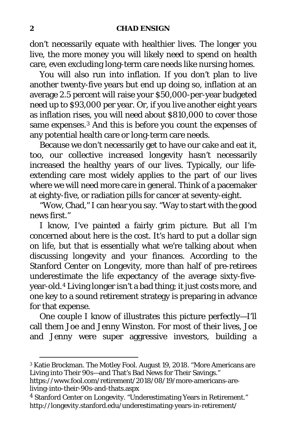#### **2 CHAD ENSIGN**

don't necessarily equate with healthier lives. The longer you live, the more money you will likely need to spend on health care, even excluding long-term care needs like nursing homes.

You will also run into inflation. If you don't plan to live another twenty-five years but end up doing so, inflation at an average 2.5 percent will raise your \$50,000-per-year budgeted need up to \$93,000 per year. Or, if you live another eight years as inflation rises, you will need about \$810,000 to cover those same expenses.<sup>[3](#page-16-0)</sup> And this is before you count the expenses of any potential health care or long-term care needs.

Because we don't necessarily get to have our cake and eat it, too, our collective increased longevity hasn't necessarily increased the healthy years of our lives. Typically, our lifeextending care most widely applies to the part of our lives where we will need more care in general. Think of a pacemaker at eighty-five, or radiation pills for cancer at seventy-eight.

"Wow, Chad," I can hear you say. "Way to start with the good news first."

I know, I've painted a fairly grim picture. But all I'm concerned about here is the cost. It's hard to put a dollar sign on life, but that is essentially what we're talking about when discussing longevity and your finances. According to the Stanford Center on Longevity, more than half of pre-retirees underestimate the life expectancy of the average sixty-fiveyear-old.[4](#page-16-1) Living longer isn't a bad thing; it just costs more, and one key to a sound retirement strategy is preparing in advance for that expense.

One couple I know of illustrates this picture perfectly—I'll call them Joe and Jenny Winston. For most of their lives, Joe and Jenny were super aggressive investors, building a

<span id="page-16-0"></span><sup>3</sup> Katie Brockman. The Motley Fool. August 19, 2018. "More Americans are Living into Their 90s—and That's Bad News for Their Savings."

https://www.fool.com/retirement/2018/08/19/more-americans-areliving-into-their-90s-and-thats.aspx

<span id="page-16-1"></span><sup>4</sup> Stanford Center on Longevity. "Underestimating Years in Retirement." http://longevity.stanford.edu/underestimating-years-in-retirement/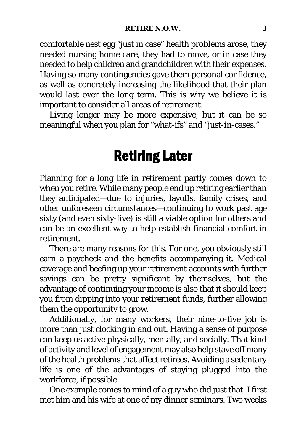comfortable nest egg "just in case" health problems arose, they needed nursing home care, they had to move, or in case they needed to help children and grandchildren with their expenses. Having so many contingencies gave them personal confidence, as well as concretely increasing the likelihood that their plan would last over the long term. This is why we believe it is important to consider all areas of retirement.

<span id="page-17-0"></span>Living longer may be more expensive, but it can be so meaningful when you plan for "what-ifs" and "just-in-cases."

## Retiring Later

Planning for a long life in retirement partly comes down to when you retire. While many people end up retiring earlier than they anticipated—due to injuries, layoffs, family crises, and other unforeseen circumstances—continuing to work past age sixty (and even sixty-five) is still a viable option for others and can be an excellent way to help establish financial comfort in retirement.

There are many reasons for this. For one, you obviously still earn a paycheck and the benefits accompanying it. Medical coverage and beefing up your retirement accounts with further savings can be pretty significant by themselves, but the advantage of continuing your income is also that it should keep you from dipping into your retirement funds, further allowing them the opportunity to grow.

Additionally, for many workers, their nine-to-five job is more than just clocking in and out. Having a sense of purpose can keep us active physically, mentally, and socially. That kind of activity and level of engagement may also help stave off many of the health problems that affect retirees. Avoiding a sedentary life is one of the advantages of staying plugged into the workforce, if possible.

One example comes to mind of a guy who did just that. I first met him and his wife at one of my dinner seminars. Two weeks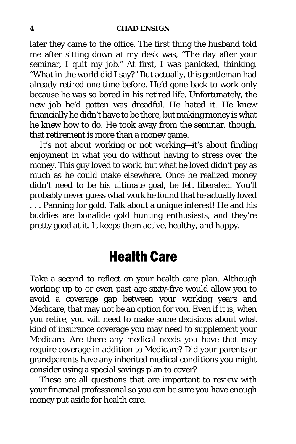later they came to the office. The first thing the husband told me after sitting down at my desk was, "The day after your seminar, I quit my job." At first, I was panicked, thinking, "What in the world did I say?" But actually, this gentleman had already retired one time before. He'd gone back to work only because he was so bored in his retired life. Unfortunately, the new job he'd gotten was dreadful. He hated it. He knew financially he didn't have to be there, but making money is what he knew how to do. He took away from the seminar, though, that retirement is more than a money game.

It's not about working or not working—it's about finding enjoyment in what you do without having to stress over the money. This guy loved to work, but what he loved didn't pay as much as he could make elsewhere. Once he realized money didn't need to be his ultimate goal, he felt liberated. You'll probably never guess what work he found that he actually loved ... Panning for gold. Talk about a unique interest! He and his buddies are bonafide gold hunting enthusiasts, and they're pretty good at it. It keeps them active, healthy, and happy.

## Health Care

<span id="page-18-0"></span>Take a second to reflect on your health care plan. Although working up to or even past age sixty-five would allow you to avoid a coverage gap between your working years and Medicare, that may not be an option for you. Even if it is, when you retire, you will need to make some decisions about what kind of insurance coverage you may need to supplement your Medicare. Are there any medical needs you have that may require coverage in addition to Medicare? Did your parents or grandparents have any inherited medical conditions you might consider using a special savings plan to cover?

These are all questions that are important to review with your financial professional so you can be sure you have enough money put aside for health care.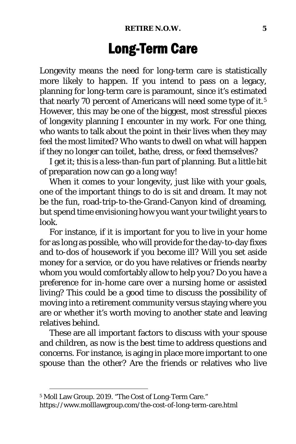## Long-Term Care

<span id="page-19-0"></span>Longevity means the need for long-term care is statistically more likely to happen. If you intend to pass on a legacy, planning for long-term care is paramount, since it's estimated that nearly 70 percent of Americans will need some type of it.<sup>[5](#page-19-1)</sup> However, this may be one of the biggest, most stressful pieces of longevity planning I encounter in my work. For one thing, who wants to talk about the point in their lives when they may feel the most limited? Who wants to dwell on what will happen if they no longer can toilet, bathe, dress, or feed themselves?

I get it; this is a less-than-fun part of planning. But a little bit of preparation now can go a long way!

When it comes to your longevity, just like with your goals, one of the important things to do is sit and dream. It may not be the fun, road-trip-to-the-Grand-Canyon kind of dreaming, but spend time envisioning how you want your twilight years to look.

For instance, if it is important for you to live in your home for as long as possible, who will provide for the day-to-day fixes and to-dos of housework if you become ill? Will you set aside money for a service, or do you have relatives or friends nearby whom you would comfortably allow to help you? Do you have a preference for in-home care over a nursing home or assisted living? This could be a good time to discuss the possibility of moving into a retirement community versus staying where you are or whether it's worth moving to another state and leaving relatives behind.

These are all important factors to discuss with your spouse and children, as *now* is the best time to address questions and concerns. For instance, is aging in place more important to one spouse than the other? Are the friends or relatives who live

<span id="page-19-1"></span><sup>5</sup> Moll Law Group. 2019. "The Cost of Long-Term Care."

https://www.molllawgroup.com/the-cost-of-long-term-care.html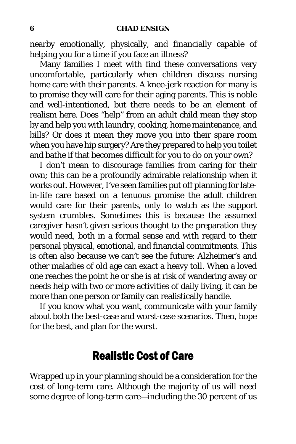nearby emotionally, physically, and financially capable of helping you for a time if you face an illness?

Many families I meet with find these conversations very uncomfortable, particularly when children discuss nursing home care with their parents. A knee-jerk reaction for many is to promise they will care for their aging parents. This is noble and well-intentioned, but there needs to be an element of realism here. Does "help" from an adult child mean they stop by and help you with laundry, cooking, home maintenance, and bills? Or does it mean they move you into their spare room when you have hip surgery? Are they prepared to help you toilet and bathe if that becomes difficult for you to do on your own?

I don't mean to discourage families from caring for their own; this can be a profoundly admirable relationship when it works out. However, I've seen families put off planning for latein-life care based on a tenuous promise the adult children would care for their parents, only to watch as the support system crumbles. Sometimes this is because the assumed caregiver hasn't given serious thought to the preparation they would need, both in a formal sense and with regard to their personal physical, emotional, and financial commitments. This is often also because we can't see the future: Alzheimer's and other maladies of old age can exact a heavy toll. When a loved one reaches the point he or she is at risk of wandering away or needs help with two or more activities of daily living, it can be more than one person or family can realistically handle.

If you know what you want, communicate with your family about both the best-case and worst-case scenarios. Then, hope for the best, and plan for the worst.

### Realistic Cost of Care

Wrapped up in your planning should be a consideration for the cost of long-term care. Although the majority of us will need some degree of long-term care—including the 30 percent of us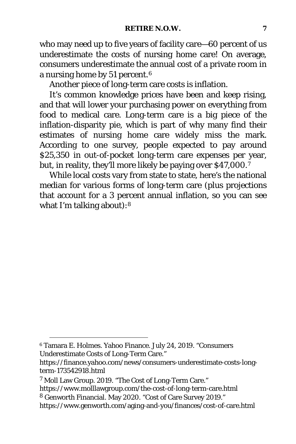who may need up to five years of facility care—60 percent of us underestimate the costs of nursing home care! On average, consumers underestimate the annual cost of a private room in a nursing home by 51 percent.[6](#page-21-0)

Another piece of long-term care costs is inflation.

It's common knowledge prices have been and keep rising, and that will lower your purchasing power on everything from food to medical care. Long-term care is a big piece of the inflation-disparity pie, which is part of why many find their estimates of nursing home care widely miss the mark. According to one survey, people expected to pay around \$25,350 in out-of-pocket long-term care expenses per year, but, in reality, they'll more likely be paying over \$4[7](#page-21-1),000.7

While local costs vary from state to state, here's the national median for various forms of long-term care (plus projections that account for a 3 percent annual inflation, so you can see what I'm talking about):<sup>[8](#page-21-2)</sup>

<span id="page-21-0"></span><sup>6</sup> Tamara E. Holmes. Yahoo Finance. July 24, 2019. "Consumers Underestimate Costs of Long-Term Care."

https://finance.yahoo.com/news/consumers-underestimate-costs-longterm-173542918.html

<span id="page-21-1"></span><sup>7</sup> Moll Law Group. 2019. "The Cost of Long-Term Care."

<span id="page-21-2"></span>https://www.molllawgroup.com/the-cost-of-long-term-care.html <sup>8</sup> Genworth Financial. May 2020. "Cost of Care Survey 2019."

https://www.genworth.com/aging-and-you/finances/cost-of-care.html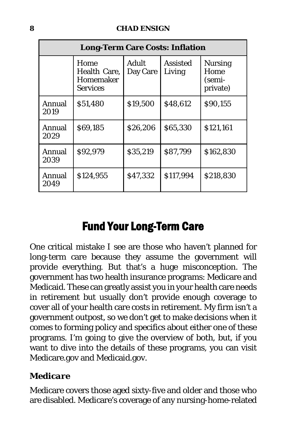| <b>Long-Term Care Costs: Inflation</b> |                                                      |                   |                           |                                              |  |  |
|----------------------------------------|------------------------------------------------------|-------------------|---------------------------|----------------------------------------------|--|--|
|                                        | Home<br>Health Care,<br>Homemaker<br><b>Services</b> | Adult<br>Day Care | <b>Assisted</b><br>Living | <b>Nursing</b><br>Home<br>(semi-<br>private) |  |  |
| Annual<br>2019                         | \$51,480                                             | \$19,500          | \$48,612                  | \$90,155                                     |  |  |
| Annual<br>2029                         | \$69,185                                             | \$26,206          | \$65,330                  | \$121,161                                    |  |  |
| Annual<br>2039                         | \$92,979                                             | \$35,219          | \$87,799                  | \$162,830                                    |  |  |
| Annual<br>2049                         | \$124,955                                            | \$47,332          | \$117,994                 | \$218,830                                    |  |  |

## Fund Your Long-Term Care

One critical mistake I see are those who haven't planned for long-term care because they assume the government will provide everything. But that's a huge misconception. The government has two health insurance programs: Medicare and Medicaid. These can greatly assist you in your health care needs in retirement but usually don't provide enough coverage to cover all of your health care costs in retirement. My firm isn't a government outpost, so we don't get to make decisions when it comes to forming policy and specifics about either one of these programs. I'm going to give the overview of both, but, if you want to dive into the details of these programs, you can visit Medicare.gov and Medicaid.gov.

#### *Medicare*

Medicare covers those aged sixty-five and older and those who are disabled. Medicare's coverage of any nursing-home-related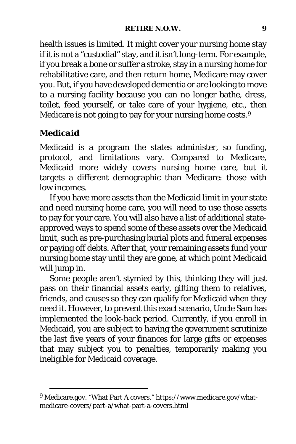#### **RETIRE N.O.W. 9**

health issues is limited. It might cover your nursing home stay if it is not a "custodial" stay, and it isn't long-term. For example, if you break a bone or suffer a stroke, stay in a nursing home for rehabilitative care, and then return home, Medicare may cover you. But, if you have developed dementia or are looking to move to a nursing facility because you can no longer bathe, dress, toilet, feed yourself, or take care of your hygiene, etc., then Medicare is not going to pay for your nursing home costs.<sup>[9](#page-23-0)</sup>

#### *Medicaid*

Medicaid is a program the states administer, so funding, protocol, and limitations vary. Compared to Medicare, Medicaid more widely covers nursing home care, but it targets a different demographic than Medicare: those with low incomes.

If you have more assets than the Medicaid limit in your state and need nursing home care, you will need to use those assets to pay for your care. You will also have a list of additional stateapproved ways to spend some of these assets over the Medicaid limit, such as pre-purchasing burial plots and funeral expenses or paying off debts. After that, your remaining assets fund your nursing home stay until they are gone, at which point Medicaid will jump in.

Some people aren't stymied by this, thinking they will just pass on their financial assets early, gifting them to relatives, friends, and causes so they can qualify for Medicaid when they need it. However, to prevent this exact scenario, Uncle Sam has implemented the look-back period. Currently, if you enroll in Medicaid, you are subject to having the government scrutinize the last five years of your finances for large gifts or expenses that may subject you to penalties, temporarily making you ineligible for Medicaid coverage.

<span id="page-23-0"></span><sup>9</sup> Medicare.gov. "What Part A covers." https://www.medicare.gov/whatmedicare-covers/part-a/what-part-a-covers.html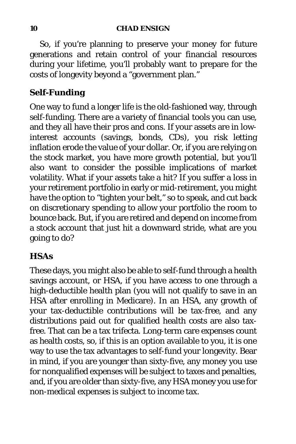#### **10 CHAD ENSIGN**

So, if you're planning to preserve your money for future generations and retain control of your financial resources during your lifetime, you'll probably want to prepare for the costs of longevity beyond a "government plan."

#### *Self-Funding*

One way to fund a longer life is the old-fashioned way, through self-funding. There are a variety of financial tools you can use, and they all have their pros and cons. If your assets are in lowinterest accounts (savings, bonds, CDs), you risk letting inflation erode the value of your dollar. Or, if you are relying on the stock market, you have more growth potential, but you'll also want to consider the possible implications of market volatility. What if your assets take a hit? If you suffer a loss in your retirement portfolio in early or mid-retirement, you might have the option to "tighten your belt," so to speak, and cut back on discretionary spending to allow your portfolio the room to bounce back. But, if you are retired and depend on income from a stock account that just hit a downward stride, what are you going to do?

#### *HSAs*

These days, you might also be able to self-fund through a health savings account, or HSA, if you have access to one through a high-deductible health plan (you will not qualify to save in an HSA after enrolling in Medicare). In an HSA, any growth of your tax-deductible contributions will be tax-free, and any distributions paid out for qualified health costs are also taxfree. That can be a tax trifecta. Long-term care expenses count as health costs, so, if this is an option available to you, it is one way to use the tax advantages to self-fund your longevity. Bear in mind, if you are younger than sixty-five, any money you use for nonqualified expenses will be subject to taxes and penalties, and, if you are older than sixty-five, any HSA money you use for non-medical expenses is subject to income tax.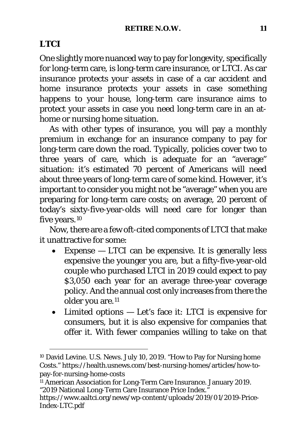#### *LTCI*

One slightly more nuanced way to pay for longevity, specifically for long-term care, is long-term care insurance, or LTCI. As car insurance protects your assets in case of a car accident and home insurance protects your assets in case something happens to your house, long-term care insurance aims to protect your assets in case you need long-term care in an athome or nursing home situation.

As with other types of insurance, you will pay a monthly premium in exchange for an insurance company to pay for long-term care down the road. Typically, policies cover two to three years of care, which is adequate for an "average" situation: it's estimated 70 percent of Americans will need about three years of long-term care of some kind. However, it's important to consider you might not be "average" when you are preparing for long-term care costs; on average, 20 percent of today's sixty-five-year-olds will need care for longer than five years.<sup>[10](#page-25-0)</sup>

Now, there are a few oft-cited components of LTCI that make it unattractive for some:

- Expense  $-$  LTCI can be expensive. It is generally less expensive the younger you are, but a fifty-five-year-old couple who purchased LTCI in 2019 could expect to pay \$3,050 each year for an average three-year coverage policy. And the annual cost only increases from there the older you are.<sup>[11](#page-25-1)</sup>
- Limited options Let's face it: LTCI is expensive for consumers, but it is also expensive for companies that offer it. With fewer companies willing to take on that

<span id="page-25-0"></span><sup>10</sup> David Levine. *U.S. News.* July 10, 2019. "How to Pay for Nursing home Costs." https://health.usnews.com/best-nursing-homes/articles/how-topay-for-nursing-home-costs

<span id="page-25-1"></span><sup>&</sup>lt;sup>11</sup> American Association for Long-Term Care Insurance. January 2019. "2019 National Long-Term Care Insurance Price Index."

https://www.aaltci.org/news/wp-content/uploads/2019/01/2019-Price-Index-LTC.pdf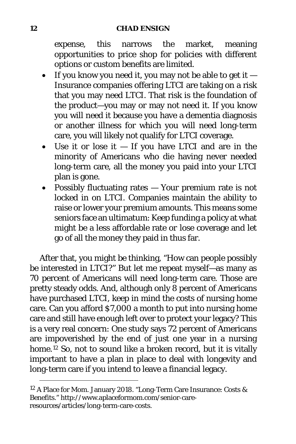expense, this narrows the market, meaning opportunities to price shop for policies with different options or custom benefits are limited.

- If you know you need it, you may not be able to get it Insurance companies offering LTCI are taking on a risk that you may need LTCI. That risk is the foundation of the product—you may or may not need it. If you know you will need it because you have a dementia diagnosis or another illness for which you will need long-term care, you will likely not qualify for LTCI coverage.
- Use it or lose it If you have LTCI and are in the minority of Americans who die having never needed long-term care, all the money you paid into your LTCI plan is gone.
- Possibly fluctuating rates Your premium rate is not locked in on LTCI. Companies maintain the ability to raise or lower your premium amounts. This means some seniors face an ultimatum: Keep funding a policy at what might be a less affordable rate *or* lose coverage and let go of all the money they paid in thus far.

After that, you might be thinking, "How can people possibly be interested in LTCI?" But let me repeat myself—as many as 70 percent of Americans will need long-term care. Those are pretty steady odds. And, although only 8 percent of Americans have purchased LTCI, keep in mind the costs of nursing home care. Can you afford \$7,000 a month to put into nursing home care and still have enough left over to protect your legacy? This is a very real concern: One study says 72 percent of Americans are impoverished by the end of just one year in a nursing home.<sup>[12](#page-26-0)</sup> So, not to sound like a broken record, but it is vitally important to have a plan in place to deal with longevity and long-term care if you intend to leave a financial legacy.

<span id="page-26-0"></span><sup>12</sup> A Place for Mom. January 2018. "Long-Term Care Insurance: Costs & Benefits." http://www.aplaceformom.com/senior-careresources/articles/long-term-care-costs.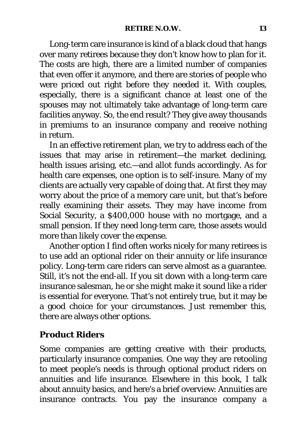Long-term care insurance is kind of a black cloud that hangs over many retirees because they don't know how to plan for it. The costs are high, there are a limited number of companies that even offer it anymore, and there are stories of people who were priced out right before they needed it. With couples, especially, there is a significant chance at least one of the spouses may not ultimately take advantage of long-term care facilities anyway. So, the end result? They give away thousands in premiums to an insurance company and receive nothing in return.

In an effective retirement plan, we try to address each of the issues that may arise in retirement—the market declining, health issues arising, etc.—and allot funds accordingly. As for health care expenses, one option is to self-insure. Many of my clients are actually very capable of doing that. At first they may worry about the price of a memory care unit, but that's before really examining their assets. They may have income from Social Security, a \$400,000 house with no mortgage, and a small pension. If they need long-term care, those assets would more than likely cover the expense.

Another option I find often works nicely for many retirees is to use add an optional rider on their annuity or life insurance policy. Long-term care riders can serve almost as a guarantee. Still, it's not the end-all. If you sit down with a long-term care insurance salesman, he or she might make it sound like a rider is essential for everyone. That's not entirely true, but it may be a good choice for your circumstances. Just remember this, there are always other options.

#### *Product Riders*

Some companies are getting creative with their products, particularly insurance companies. One way they are retooling to meet people's needs is through optional product riders on annuities and life insurance. Elsewhere in this book, I talk about annuity basics, and here's a brief overview: Annuities are insurance contracts. You pay the insurance company a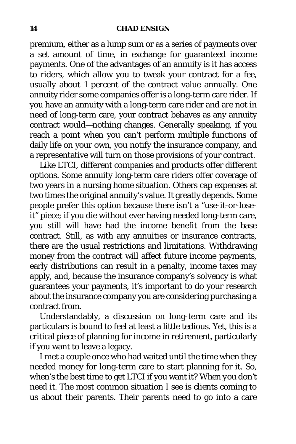#### **14 CHAD ENSIGN**

premium, either as a lump sum or as a series of payments over a set amount of time, in exchange for guaranteed income payments. One of the advantages of an annuity is it has access to riders, which allow you to tweak your contract for a fee, usually about 1 percent of the contract value annually. One annuity rider some companies offer is a long-term care rider. If you have an annuity with a long-term care rider and are not in need of long-term care, your contract behaves as any annuity contract would—nothing changes. Generally speaking, if you reach a point when you can't perform multiple functions of daily life on your own, you notify the insurance company, and a representative will turn on those provisions of your contract.

Like LTCI, different companies and products offer different options. Some annuity long-term care riders offer coverage of two years in a nursing home situation. Others cap expenses at two times the original annuity's value. It greatly depends. Some people prefer this option because there isn't a "use-it-or-loseit" piece; if you die without ever having needed long-term care, you still will have had the income benefit from the base contract. Still, as with any annuities or insurance contracts, there are the usual restrictions and limitations. Withdrawing money from the contract will affect future income payments, early distributions can result in a penalty, income taxes may apply, and, because the insurance company's solvency is what guarantees your payments, it's important to do your research about the insurance company you are considering purchasing a contract from.

Understandably, a discussion on long-term care and its particulars is bound to feel at least a little tedious. Yet, this is a critical piece of planning for income in retirement, particularly if you want to leave a legacy.

I met a couple once who had waited until the time when they needed money for long-term care to start planning for it. So, when's the best time to get LTCI if you want it? *When you don't need it*. The most common situation I see is clients coming to us about their parents. Their parents need to go into a care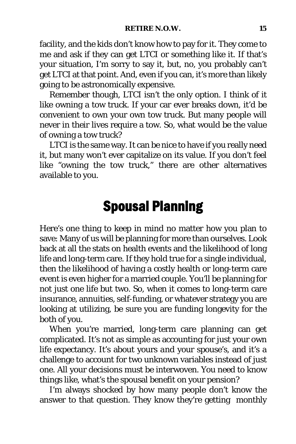facility, and the kids don't know how to pay for it. They come to me and ask if they can get LTCI or something like it. If that's your situation, I'm sorry to say it, but, no, you probably can't get LTCI at that point. And, even if you can, it's more than likely going to be astronomically expensive.

Remember though, LTCI isn't the only option. I think of it like owning a tow truck. If your car ever breaks down, it'd be convenient to own your own tow truck. But many people will never in their lives require a tow. So, what would be the value of owning a tow truck?

<span id="page-29-0"></span>LTCI is the same way. It can be nice to have if you really need it, but many won't ever capitalize on its value. If you don't feel like "owning the tow truck," there are other alternatives available to you.

## Spousal Planning

Here's one thing to keep in mind no matter how you plan to save: Many of us will be planning for more than ourselves. Look back at all the stats on health events and the likelihood of long life and long-term care. If they hold true for a single individual, then the likelihood of having a costly health or long-term care event is even higher for a married couple. You'll be planning for not just one life but two. So, when it comes to long-term care insurance, annuities, self-funding, or whatever strategy you are looking at utilizing, be sure you are funding longevity for the both of you.

When you're married, long-term care planning can get complicated. It's not as simple as accounting for just your own life expectancy. It's about yours *and* your spouse's, and it's a challenge to account for two unknown variables instead of just one. All your decisions must be interwoven. You need to know things like, what's the spousal benefit on your pension?

I'm always shocked by how many people don't know the answer to that question. They know they're getting monthly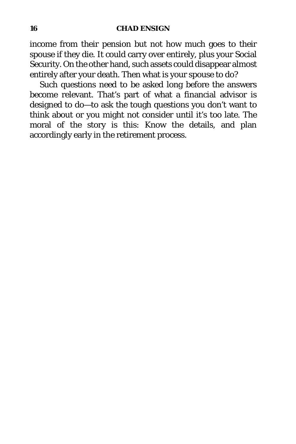#### **16 CHAD ENSIGN**

income from their pension but not how much goes to their spouse if they die. It could carry over entirely, plus your Social Security. On the other hand, such assets could disappear almost entirely after your death. Then what is your spouse to do?

Such questions need to be asked long before the answers become relevant. That's part of what a financial advisor is designed to do—to ask the tough questions you don't want to think about or you might not consider until it's too late. The moral of the story is this: Know the details, and plan accordingly early in the retirement process.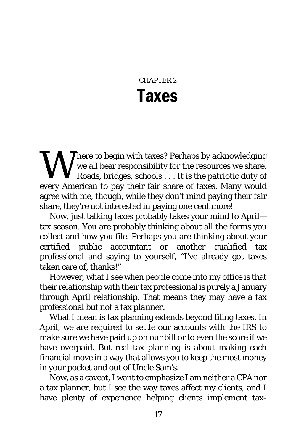## CHAPTER 2 Taxes

<span id="page-31-0"></span>Where to begin with taxes? Perhaps by acknowledging<br>
we all bear responsibility for the resources we share.<br>
Roads, bridges, schools . . . It is the patriotic duty of<br>
every American to pay their fair share of taxes. Many we all bear responsibility for the resources we share. Roads, bridges, schools . . . It is the patriotic duty of every American to pay their fair share of taxes. Many would agree with me, though, while they don't mind paying their fair share, they're not interested in paying one cent more!

Now, just talking taxes probably takes your mind to April tax season. You are probably thinking about all the forms you collect and how you file. Perhaps you are thinking about your certified public accountant or another qualified tax professional and saying to yourself, "I've already got taxes taken care of, thanks!"

However, what I see when people come into my office is that their relationship with their tax professional is purely a January through April relationship. That means they may have a tax professional but not a tax *planner*.

What I mean is tax planning extends beyond filing taxes. In April, we are required to settle our accounts with the IRS to make sure we have paid up on our bill or to even the score if we have overpaid. But real tax planning is about making each financial move in a way that allows you to keep the most money in your pocket and out of Uncle Sam's.

Now, as a caveat, I want to emphasize I am neither a CPA nor a tax planner, but I see the way taxes affect my clients, and I have plenty of experience helping clients implement tax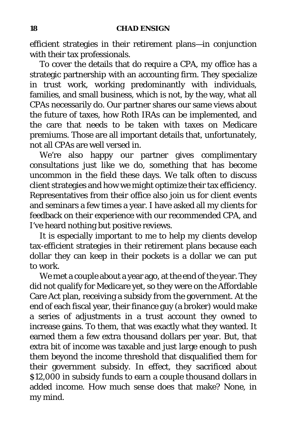efficient strategies in their retirement plans—in conjunction with their tax professionals.

To cover the details that do require a CPA, my office has a strategic partnership with an accounting firm. They specialize in trust work, working predominantly with individuals, families, and small business, which is not, by the way, what all CPAs necessarily do. Our partner shares our same views about the future of taxes, how Roth IRAs can be implemented, and the care that needs to be taken with taxes on Medicare premiums. Those are all important details that, unfortunately, not all CPAs are well versed in.

We're also happy our partner gives complimentary consultations just like we do, something that has become uncommon in the field these days. We talk often to discuss client strategies and how we might optimize their tax efficiency. Representatives from their office also join us for client events and seminars a few times a year. I have asked all my clients for feedback on their experience with our recommended CPA, and I've heard nothing but positive reviews.

It is especially important to me to help my clients develop tax-efficient strategies in their retirement plans because each dollar they can keep in their pockets is a dollar we can put to work.

We met a couple about a year ago, at the end of the year. They did not qualify for Medicare yet, so they were on the Affordable Care Act plan, receiving a subsidy from the government. At the end of each fiscal year, their finance guy (a broker) would make a series of adjustments in a trust account they owned to increase gains. To them, that was exactly what they wanted. It earned them a few extra thousand dollars per year. But, that extra bit of income was taxable and just large enough to push them beyond the income threshold that disqualified them for their government subsidy. In effect, they sacrificed about \$12,000 in subsidy funds to earn a couple thousand dollars in added income. How much sense does that make? None, in my mind.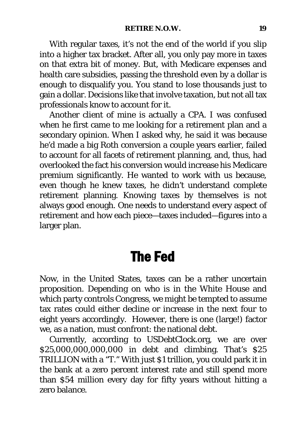With regular taxes, it's not the end of the world if you slip into a higher tax bracket. After all, you only pay more in taxes on that extra bit of money. But, with Medicare expenses and health care subsidies, passing the threshold even by a dollar is enough to disqualify you. You stand to lose thousands just to gain a dollar. Decisions like that involve taxation, but not all tax professionals know to account for it.

Another client of mine is actually a CPA. I was confused when he first came to me looking for a retirement plan and a secondary opinion. When I asked why, he said it was because he'd made a big Roth conversion a couple years earlier, failed to account for all facets of retirement planning, and, thus, had overlooked the fact his conversion would increase his Medicare premium significantly. He wanted to work with us because, even though he knew taxes, he didn't understand *complete* retirement planning. Knowing taxes by themselves is not always good enough. One needs to understand every aspect of retirement and how each piece—taxes included—figures into a larger plan.

## The Fed

<span id="page-33-0"></span>Now, in the United States, taxes can be a rather uncertain proposition. Depending on who is in the White House and which party controls Congress, we might be tempted to assume tax rates could either decline or increase in the next four to eight years accordingly. However, there is one (large!) factor we, as a nation, must confront: the national debt.

Currently, according to USDebtClock.org, we are over \$25,000,000,000,000 in debt and climbing. That's \$25 TRILLION with a "T." With just \$1 trillion, you could park it in the bank at a zero percent interest rate and still spend more than \$54 million every day for fifty years without hitting a zero balance.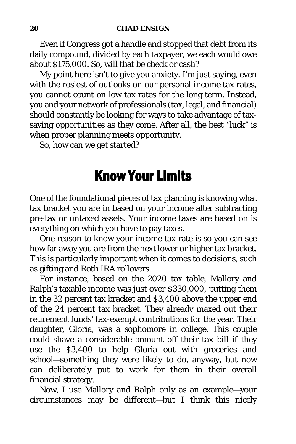Even if Congress got a handle and stopped that debt from its daily compound, divided by each taxpayer, we each would owe about \$175,000. So, will that be check or cash?

My point here isn't to give you anxiety. I'm just saying, even with the rosiest of outlooks on our personal income tax rates, you cannot count on low tax rates for the long term. Instead, you and your network of professionals (tax, legal, and financial) should constantly be looking for ways to take advantage of taxsaving opportunities as they come. After all, the best "luck" is when proper planning meets opportunity.

<span id="page-34-0"></span>So, how can we get started?

## Know Your Limits

One of the foundational pieces of tax planning is knowing what tax bracket you are in based on your income after subtracting pre-tax or untaxed assets. Your income taxes are based on is everything on which you have to pay taxes.

One reason to know your income tax rate is so you can see how far away you are from the next lower or higher tax bracket. This is particularly important when it comes to decisions, such as gifting and Roth IRA rollovers.

For instance, based on the 2020 tax table, Mallory and Ralph's taxable income was just over \$330,000, putting them in the 32 percent tax bracket and \$3,400 above the upper end of the 24 percent tax bracket. They already maxed out their retirement funds' tax-exempt contributions for the year. Their daughter, Gloria, was a sophomore in college. This couple could shave a considerable amount off their tax bill if they use the \$3,400 to help Gloria out with groceries and school—something they were likely to do, anyway, but now can deliberately put to work for them in their overall financial strategy.

Now, I use Mallory and Ralph only as an example—your circumstances may be different—but I think this nicely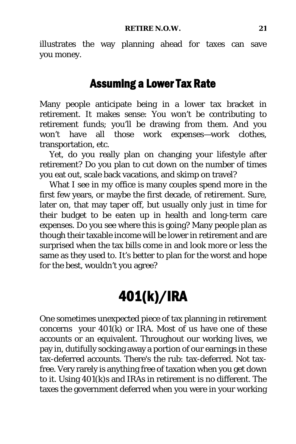illustrates the way planning ahead for taxes can save you money.

## Assuming a Lower Tax Rate

Many people anticipate being in a lower tax bracket in retirement. It makes sense: You won't be contributing to retirement funds; you'll be drawing from them. And you won't have all those work expenses—work clothes, transportation, etc.

Yet, do you really plan on changing your lifestyle after retirement? Do you plan to cut down on the number of times you eat out, scale back vacations, and skimp on travel?

What I see in my office is many couples spend more in the first few years, or maybe the first decade, of retirement. Sure, later on, that may taper off, but usually only just in time for their budget to be eaten up in health and long-term care expenses. Do you see where this is going? Many people plan as though their taxable income will be lower in retirement and are surprised when the tax bills come in and look more or less the same as they used to. It's better to plan for the worst and hope for the best, wouldn't you agree?

## 401(k)/IRA

<span id="page-35-0"></span>One sometimes unexpected piece of tax planning in retirement concerns your  $401(k)$  or IRA. Most of us have one of these accounts or an equivalent. Throughout our working lives, we pay in, dutifully socking away a portion of our earnings in these tax-deferred accounts. There's the rub: tax-deferred. Not taxfree. Very rarely is anything free of taxation when you get down to it. Using 401(k)s and IRAs in retirement is no different. The taxes the government deferred when you were in your working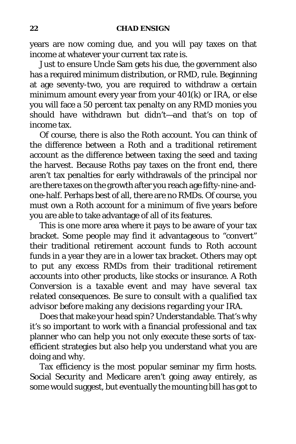years are now coming due, and you will pay taxes on that income at whatever your current tax rate is.

Just to ensure Uncle Sam gets his due, the government also has a required minimum distribution, or RMD, rule. Beginning at age seventy-two, you are required to withdraw a certain minimum amount every year from your 401(k) or IRA, or else you will face a 50 percent tax penalty on any RMD monies you should have withdrawn but didn't—and that's on top of income tax.

Of course, there is also the Roth account. You can think of the difference between a Roth and a traditional retirement account as the difference between taxing the seed and taxing the harvest. Because Roths pay taxes on the front end, there aren't tax penalties for early withdrawals of the principal nor are there taxes on the growth after you reach age fifty-nine-andone-half. Perhaps best of all, there are no RMDs. Of course, you must own a Roth account for a minimum of five years before you are able to take advantage of all of its features.

This is one more area where it pays to be aware of your tax bracket. Some people may find it advantageous to "convert" their traditional retirement account funds to Roth account funds in a year they are in a lower tax bracket. Others may opt to put any excess RMDs from their traditional retirement accounts into other products, like stocks or insurance. *A Roth Conversion is a taxable event and may have several tax related consequences. Be sure to consult with a qualified tax advisor before making any decisions regarding your IRA.*

Does that make your head spin? Understandable. That's why it's so important to work with a financial professional and tax planner who can help you not only execute these sorts of taxefficient strategies but also help you understand what you are doing and why.

Tax efficiency is the most popular seminar my firm hosts. Social Security and Medicare aren't going away entirely, as some would suggest, but eventually the mounting bill has got to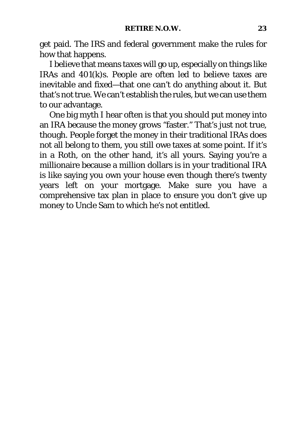get paid. The IRS and federal government make the rules for how that happens.

I believe that means taxes will go up, especially on things like IRAs and 401(k)s. People are often led to believe taxes are inevitable and fixed—that one can't do anything about it. But that's not true. We can't establish the rules, but we can use them to our advantage.

One big myth I hear often is that you should put money into an IRA because the money grows "faster." That's just not true, though. People forget the money in their traditional IRAs does not all belong to them, you still owe taxes at some point. If it's in a Roth, on the other hand, it's all yours. Saying you're a millionaire because a million dollars is in your traditional IRA is like saying you own your house even though there's twenty years left on your mortgage. Make sure you have a comprehensive tax plan in place to ensure you don't give up money to Uncle Sam to which he's not entitled.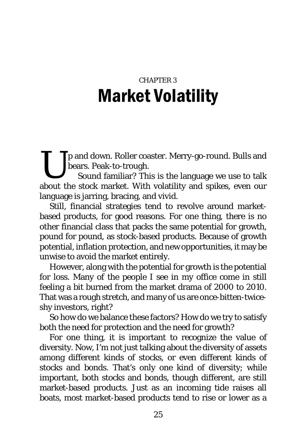# CHAPTER 3 Market Volatility

Tp and down. Roller coaster. Merry-go-round. Bulls and bears. Peak-to-trough.  $\prod_{\text{about } t}$ 

Sound familiar? This is the language we use to talk about the stock market. With volatility and spikes, even our language is jarring, bracing, and vivid.

Still, financial strategies tend to revolve around marketbased products, for good reasons. For one thing, there is no other financial class that packs the same potential for growth, pound for pound, as stock-based products. Because of growth potential, inflation protection, and new opportunities, it may be unwise to avoid the market entirely.

However, along with the potential for growth is the potential for loss. Many of the people I see in my office come in still feeling a bit burned from the market drama of 2000 to 2010. That was a rough stretch, and many of us are once-bitten-twiceshy investors, right?

So how do we balance these factors? How do we try to satisfy both the need for protection and the need for growth?

For one thing, it is important to recognize the value of diversity. Now, I'm not just talking about the diversity of assets among different kinds of stocks, or even different kinds of stocks and bonds. That's only one kind of diversity; while important, both stocks and bonds, though different, are still market-based products. Just as an incoming tide raises all boats, most market-based products tend to rise or lower as a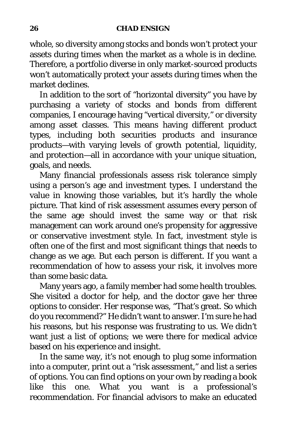whole, so diversity among stocks and bonds won't protect your assets during times when the market as a whole is in decline. Therefore, a portfolio diverse in only market-sourced products won't automatically protect your assets during times when the market declines.

In addition to the sort of "horizontal diversity" you have by purchasing a variety of stocks and bonds from different companies, I encourage having "vertical diversity," or diversity among asset classes. This means having different product types, including both securities products and insurance products—with varying levels of growth potential, liquidity, and protection—all in accordance with your unique situation, goals, and needs.

Many financial professionals assess risk tolerance simply using a person's age and investment types. I understand the value in knowing those variables, but it's hardly the whole picture. That kind of risk assessment assumes every person of the same age should invest the same way or that risk management can work around one's propensity for aggressive or conservative investment style. In fact, investment style is often one of the first and most significant things that needs to change as we age. But each person is different. If you want a recommendation of how to assess your risk, it involves more than some basic data.

Many years ago, a family member had some health troubles. She visited a doctor for help, and the doctor gave her three options to consider. Her response was, "That's great. So which do you recommend?" He didn't want to answer. I'm sure he had his reasons, but his response was frustrating to us. We didn't want just a list of options; we were there for medical advice based on his experience and insight.

In the same way, it's not enough to plug some information into a computer, print out a "risk assessment," and list a series of options. You can find options on your own by reading a book like this one. What you want is a professional's recommendation. For financial advisors to make an educated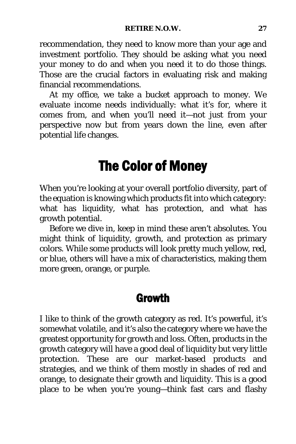recommendation, they need to know more than your age and investment portfolio. They should be asking what you need your money to do and when you need it to do those things. Those are the crucial factors in evaluating risk and making financial recommendations.

At my office, we take a bucket approach to money. We evaluate income needs individually: what it's for, where it comes from, and when you'll need it—not just from your perspective now but from years down the line, even after potential life changes.

## The Color of Money

When you're looking at your overall portfolio diversity, part of the equation is knowing which products fit into which category: what has liquidity, what has protection, and what has growth potential.

Before we dive in, keep in mind these aren't absolutes. You might think of liquidity, growth, and protection as primary colors. While some products will look pretty much yellow, red, or blue, others will have a mix of characteristics, making them more green, orange, or purple.

### **Growth**

I like to think of the growth category as red. It's powerful, it's somewhat volatile, and it's also the category where we have the greatest opportunity for growth and loss. Often, products in the growth category will have a good deal of liquidity but very little protection. These are our market-based products and strategies, and we think of them mostly in shades of red and orange, to designate their growth and liquidity. This is a good place to be when you're young—think fast cars and flashy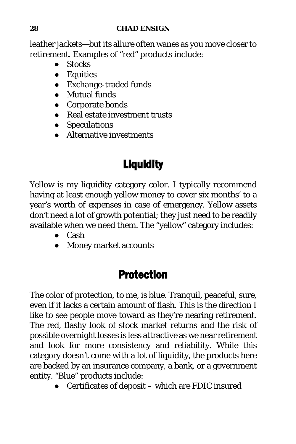#### **28 CHAD ENSIGN**

leather jackets—but its allure often wanes as you move closer to retirement. Examples of "red" products include:

- Stocks
- Equities
- Exchange-traded funds
- Mutual funds
- Corporate bonds
- Real estate investment trusts
- Speculations
- Alternative investments

# **Liquidity**

Yellow is my liquidity category color. I typically recommend having at least enough yellow money to cover six months' to a year's worth of expenses in case of emergency. Yellow assets don't need a lot of growth potential; they just need to be readily available when we need them. The "yellow" category includes:

- Cash
- Money market accounts

## Protection

The color of protection, to me, is blue. Tranquil, peaceful, sure, even if it lacks a certain amount of flash. This is the direction I like to see people move toward as they're nearing retirement. The red, flashy look of stock market returns and the risk of possible overnight losses is less attractive as we near retirement and look for more consistency and reliability. While this category doesn't come with a lot of liquidity, the products here are backed by an insurance company, a bank, or a government entity. "Blue" products include:

● Certificates of deposit – which are FDIC insured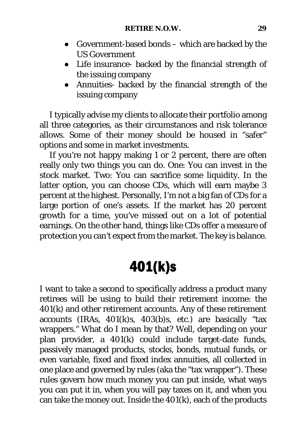- Government-based bonds which are backed by the US Government
- Life insurance- backed by the financial strength of the issuing company
- Annuities- backed by the financial strength of the issuing company

I typically advise my clients to allocate their portfolio among all three categories, as their circumstances and risk tolerance allows. Some of their money should be housed in "safer" options and some in market investments.

If you're not happy making 1 or 2 percent, there are often really only two things you can do. One: You can invest in the stock market. Two: You can sacrifice some liquidity. In the latter option, you can choose CDs, which will earn maybe 3 percent at the highest. Personally, I'm not a big fan of CDs for a large portion of one's assets. If the market has 20 percent growth for a time, you've missed out on a lot of potential earnings. On the other hand, things like CDs offer a measure of protection you can't expect from the market. The key is balance.

# 401(k)s

I want to take a second to specifically address a product many retirees will be using to build their retirement income: the 401(k) and other retirement accounts. Any of these retirement accounts (IRAs, 401(k)s, 403(b)s, etc.) are basically "tax wrappers." What do I mean by that? Well, depending on your plan provider, a 401(k) could include target-date funds, passively managed products, stocks, bonds, mutual funds, or even variable, fixed and fixed index annuities, all collected in one place and governed by rules (aka the "tax wrapper"). These rules govern how much money you can put inside, what ways you can put it in, when you will pay taxes on it, and when you can take the money out. Inside the 401(k), each of the products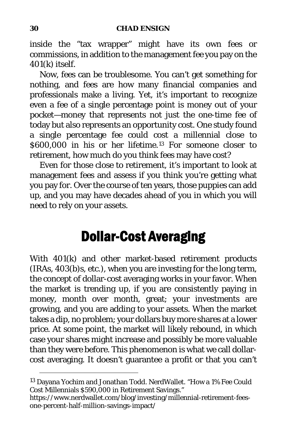#### **30 CHAD ENSIGN**

inside the "tax wrapper" might have its own fees or commissions, in addition to the management fee you pay on the 401(k) itself.

Now, fees can be troublesome. You can't get something for nothing, and fees are how many financial companies and professionals make a living. Yet, it's important to recognize even a fee of a single percentage point is money out of your pocket—money that represents not just the one-time fee of today but also represents an opportunity cost. One study found a single percentage fee could cost a millennial close to \$600,000 in his or her lifetime.[13](#page-44-0) For someone closer to retirement, how much do you think fees may have cost?

Even for those close to retirement, it's important to look at management fees and assess if you think you're getting what you pay for. Over the course of ten years, those puppies can add up, and you may have decades ahead of you in which you will need to rely on your assets.

# Dollar-Cost Averaging

With 401(k) and other market-based retirement products (IRAs, 403(b)s, etc.), when you are investing for the long term, the concept of dollar-cost averaging works in your favor. When the market is trending up, if you are consistently paying in money, month over month, great; your investments are growing, and you are adding to your assets. When the market takes a dip, no problem; your dollars buy more shares at a lower price. At some point, the market will likely rebound, in which case your shares might increase and possibly be more valuable than they were before. This phenomenon is what we call dollarcost averaging. It doesn't guarantee a profit or that you can't

<span id="page-44-0"></span><sup>13</sup> Dayana Yochim and Jonathan Todd. NerdWallet. "How a 1% Fee Could Cost Millennials \$590,000 in Retirement Savings."

https://www.nerdwallet.com/blog/investing/millennial-retirement-feesone-percent-half-million-savings-impact/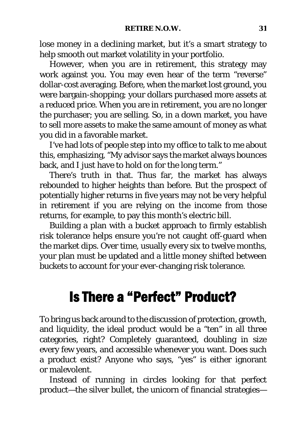lose money in a declining market, but it's a smart strategy to help smooth out market volatility in your portfolio.

However, when you are in retirement, this strategy may work against you. You may even hear of the term "reverse" dollar-cost averaging. Before, when the market lost ground, you were bargain-shopping; your dollars purchased more assets at a reduced price. When you are in retirement, you are no longer the purchaser; you are selling. So, in a down market, you have to sell more assets to make the same amount of money as what you did in a favorable market.

I've had lots of people step into my office to talk to me about this, emphasizing, "My advisor says the market always bounces back, and I just have to hold on for the long term."

There's truth in that. Thus far, the market has always rebounded to higher heights than before. But the prospect of potentially higher returns in five years may not be very helpful in retirement if you are relying on the income from those returns, for example, to pay this month's electric bill.

Building a plan with a bucket approach to firmly establish risk tolerance helps ensure you're not caught off-guard when the market dips. Over time, usually every six to twelve months, your plan must be updated and a little money shifted between buckets to account for your ever-changing risk tolerance.

## Is There a "Perfect" Product?

To bring us back around to the discussion of protection, growth, and liquidity, the ideal product would be a "ten" in all three categories, right? Completely guaranteed, doubling in size every few years, and accessible whenever you want. Does such a product exist? Anyone who says, "yes" is either ignorant or malevolent.

Instead of running in circles looking for that perfect product—the silver bullet, the unicorn of financial strategies—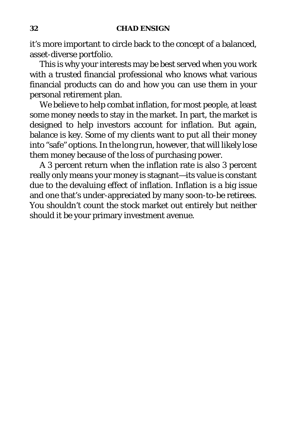#### **32 CHAD ENSIGN**

it's more important to circle back to the concept of a balanced, asset-diverse portfolio.

This is why your interests may be best served when you work with a trusted financial professional who knows what various financial products can do and how you can use them in your personal retirement plan.

We believe to help combat inflation, for most people, at least some money needs to stay in the market. In part, the market is designed to help investors account for inflation. But again, balance is key. Some of my clients want to put all their money into "safe" options. In the long run, however, that will likely lose them money because of the loss of purchasing power.

A 3 percent return when the inflation rate is also 3 percent really only means your money is stagnant—its value is constant due to the devaluing effect of inflation. Inflation is a big issue and one that's under-appreciated by many soon-to-be retirees. You shouldn't count the stock market out entirely but neither should it be your primary investment avenue.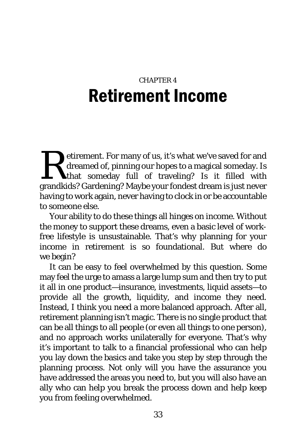# CHAPTER 4 Retirement Income

etirement. For many of us, it's what we've saved for and dreamed of, pinning our hopes to a magical someday. Is that someday full of traveling? Is it filled with etirement. For many of us, it's what we've saved for and dreamed of, pinning our hopes to a magical someday. Is that someday full of traveling? Is it filled with grandkids? Gardening? Maybe your fondest dream is just never having to work again, never having to clock in or be accountable to someone else.

Your ability to do these things all hinges on *income*. Without the money to support these dreams, even a basic level of workfree lifestyle is unsustainable. That's why planning for your income in retirement is so foundational. But where do we begin?

It can be easy to feel overwhelmed by this question. Some may feel the urge to amass a large lump sum and then try to put it all in one product—insurance, investments, liquid assets—to provide all the growth, liquidity, and income they need. Instead, I think you need a more balanced approach. After all, retirement planning isn't magic. There is no single product that can be all things to all people (or even all things to one person), and no approach works unilaterally for everyone. That's why it's important to talk to a financial professional who can help you lay down the basics and take you step by step through the planning process. Not only will you have the assurance you have addressed the areas you need to, but you will also have an ally who can help you break the process down and help keep you from feeling overwhelmed.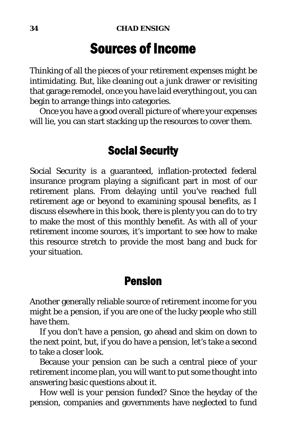## Sources of Income

Thinking of all the pieces of your retirement expenses might be intimidating. But, like cleaning out a junk drawer or revisiting that garage remodel, once you have laid everything out, you can begin to arrange things into categories.

Once you have a good overall picture of where your expenses will lie, you can start stacking up the resources to cover them.

### Social Security

Social Security is a guaranteed, inflation-protected federal insurance program playing a significant part in most of our retirement plans. From delaying until you've reached full retirement age or beyond to examining spousal benefits, as I discuss elsewhere in this book, there is plenty you can do to try to make the most of this monthly benefit. As with all of your retirement income sources, it's important to see how to make this resource stretch to provide the most bang and buck for your situation.

#### Pension

Another generally reliable source of retirement income for you might be a pension, if you are one of the lucky people who still have them.

If you don't have a pension, go ahead and skim on down to the next point, but, if you do have a pension, let's take a second to take a closer look.

Because your pension can be such a central piece of your retirement income plan, you will want to put some thought into answering basic questions about it.

How well is your pension funded? Since the heyday of the pension, companies and governments have neglected to fund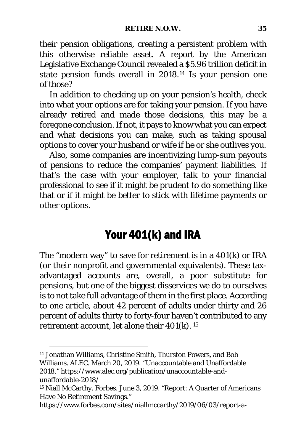their pension obligations, creating a persistent problem with this otherwise reliable asset. A report by the American Legislative Exchange Council revealed a \$5.96 trillion deficit in state pension funds overall in 2018.[14](#page-49-0) Is your pension one of those?

In addition to checking up on your pension's health, check into what your options are for taking your pension. If you have already retired and made those decisions, this may be a foregone conclusion. If not, it pays to know what you can expect and what decisions you can make, such as taking spousal options to cover your husband or wife if he or she outlives you.

Also, some companies are incentivizing lump-sum payouts of pensions to reduce the companies' payment liabilities. If that's the case with your employer, talk to your financial professional to see if it might be prudent to do something like that or if it might be better to stick with lifetime payments or other options.

### Your 401(k) and IRA

The "modern way" to save for retirement is in a 401(k) or IRA (or their nonprofit and governmental equivalents). These taxadvantaged accounts are, overall, a poor substitute for pensions, but one of the biggest disservices we do to ourselves is to not take full advantage of them in the first place. According to one article, about 42 percent of adults under thirty and 26 percent of adults thirty to forty-four haven't contributed to any retirement account, let alone their 401(k). [15](#page-49-1)

<span id="page-49-0"></span><sup>14</sup> Jonathan Williams, Christine Smith, Thurston Powers, and Bob Williams. ALEC. March 20, 2019. "Unaccountable and Unaffordable 2018." https://www.alec.org/publication/unaccountable-andunaffordable-2018/

<span id="page-49-1"></span><sup>15</sup> Niall McCarthy. Forbes. June 3, 2019. "Report: A Quarter of Americans Have No Retirement Savings."

https://www.forbes.com/sites/niallmccarthy/2019/06/03/report-a-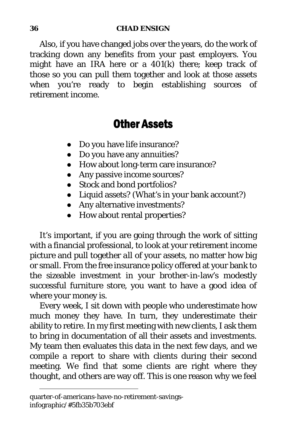Also, if you have changed jobs over the years, do the work of tracking down any benefits from your past employers. You might have an IRA here or a 401(k) there; keep track of those so you can pull them together and look at those assets when you're ready to begin establishing sources of retirement income.

#### Other Assets

- Do you have life insurance?
- Do you have any annuities?
- How about long-term care insurance?
- Any passive income sources?
- Stock and bond portfolios?
- Liquid assets? (What's in your bank account?)
- Any alternative investments?
- How about rental properties?

It's important, if you are going through the work of sitting with a financial professional, to look at your retirement income picture and pull together *all* of your assets, no matter how big or small. From the free insurance policy offered at your bank to the sizeable investment in your brother-in-law's modestly successful furniture store, you want to have a good idea of where your money is.

Every week, I sit down with people who underestimate how much money they have. In turn, they underestimate their ability to retire. In my first meeting with new clients, I ask them to bring in documentation of all their assets and investments. My team then evaluates this data in the next few days, and we compile a report to share with clients during their second meeting. We find that some clients are right where they thought, and others are way off. This is one reason why we feel

quarter-of-americans-have-no-retirement-savingsinfographic/#5fb35b703ebf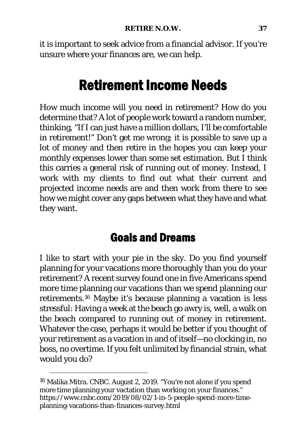it is important to seek advice from a financial advisor. If you're unsure where your finances are, we can help.

## Retirement Income Needs

How much income will you need in retirement? How do you determine that? A lot of people work toward a random number, thinking, "If I can just have a million dollars, I'll be comfortable in retirement!" Don't get me wrong; it is possible to save up a lot of money and then retire in the hopes you can keep your monthly expenses lower than some set estimation. But I think this carries a general risk of running out of money. Instead, I work with my clients to find out what their current and projected income needs are and then work from there to see how we might cover any gaps between what they have and what they want.

### Goals and Dreams

I like to start with your pie in the sky. Do you find yourself planning for your vacations more thoroughly than you do your retirement? A recent survey found one in five Americans spend more time planning our vacations than we spend planning our retirements.[16](#page-51-0) Maybe it's because planning a vacation is less stressful: Having a week at the beach go awry is, well, a walk on the beach compared to running out of money in retirement. Whatever the case, perhaps it would be better if you thought of your retirement as a vacation in and of itself—no clocking in, no boss, no overtime. If you felt unlimited by financial strain, what would you do?

<span id="page-51-0"></span><sup>16</sup> Malika Mitra. CNBC. August 2, 2019. "You're not alone if you spend more time planning your vactation than working on your finances." https://www.cnbc.com/2019/08/02/1-in-5-people-spend-more-timeplanning-vacations-than-finances-survey.html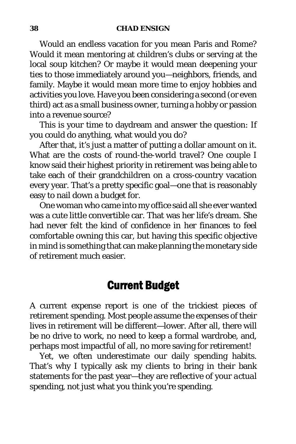#### **38 CHAD ENSIGN**

Would an endless vacation for you mean Paris and Rome? Would it mean mentoring at children's clubs or serving at the local soup kitchen? Or maybe it would mean deepening your ties to those immediately around you—neighbors, friends, and family. Maybe it would mean more time to enjoy hobbies and activities you love. Have you been considering a second (or even third) act as a small business owner, turning a hobby or passion into a revenue source?

This is your time to daydream and answer the question: If you could do anything, what would you do?

After that, it's just a matter of putting a dollar amount on it. What are the costs of round-the-world travel? One couple I know said their highest priority in retirement was being able to take each of their grandchildren on a cross-country vacation every year. That's a pretty specific goal—one that is reasonably easy to nail down a budget for.

One woman who came into my office said all she ever wanted was a cute little convertible car. That was her life's dream. She had never felt the kind of confidence in her finances to feel comfortable owning this car, but having this specific objective in mind is something that can make planning the monetary side of retirement much easier.

### Current Budget

A current expense report is one of the trickiest pieces of retirement spending. Most people assume the expenses of their lives in retirement will be different—lower. After all, there will be no drive to work, no need to keep a formal wardrobe, and, perhaps most impactful of all, no more saving for retirement!

Yet, we often underestimate our daily spending habits. That's why I typically ask my clients to bring in their bank statements for the past year—they are reflective of your *actual* spending, not just what you think you're spending.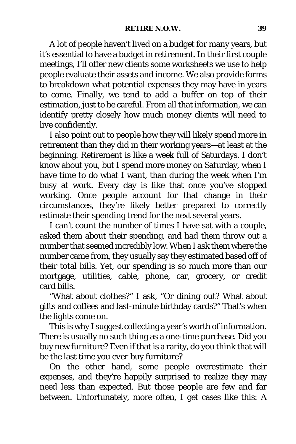A lot of people haven't lived on a budget for many years, but it's essential to have a budget in retirement. In their first couple meetings, I'll offer new clients some worksheets we use to help people evaluate their assets and income. We also provide forms to breakdown what potential expenses they may have in years to come. Finally, we tend to add a buffer on top of their estimation, just to be careful. From all that information, we can identify pretty closely how much money clients will need to live confidently.

I also point out to people how they will likely spend more in retirement than they did in their working years—at least at the beginning. Retirement is like a week full of Saturdays. I don't know about you, but I spend more money on Saturday, when I have time to do what I want, than during the week when I'm busy at work. Every day is like that once you've stopped working. Once people account for that change in their circumstances, they're likely better prepared to correctly estimate their spending trend for the next several years.

I can't count the number of times I have sat with a couple, asked them about their spending, and had them throw out a number that seemed incredibly low. When I ask them where the number came from, they usually say they estimated based off of their total bills. Yet, our spending is so much more than our mortgage, utilities, cable, phone, car, grocery, or credit card bills.

"What about clothes?" I ask, "Or dining out? What about gifts and coffees and last-minute birthday cards?" That's when the lights come on.

This is why I suggest collecting a year's worth of information. There is usually no such thing as a one-time purchase. Did you buy new furniture? Even if that is a rarity, do you think that will be the last time you *ever* buy furniture?

On the other hand, some people overestimate their expenses, and they're happily surprised to realize they may need less than expected. But those people are few and far between. Unfortunately, more often, I get cases like this: A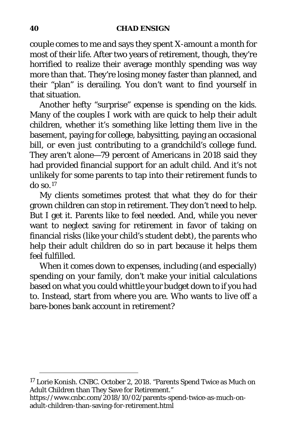couple comes to me and says they spent X-amount a month for most of their life. After two years of retirement, though, they're horrified to realize their average monthly spending was way more than that. They're losing money faster than planned, and their "plan" is derailing. You don't want to find yourself in that situation.

Another hefty "surprise" expense is spending on the kids. Many of the couples I work with are quick to help their adult children, whether it's something like letting them live in the basement, paying for college, babysitting, paying an occasional bill, or even just contributing to a grandchild's college fund. They aren't alone—79 percent of Americans in 2018 said they had provided financial support for an adult child. And it's not unlikely for some parents to tap into their retirement funds to do so.[17](#page-54-0)

My clients sometimes protest that what they do for their grown children can stop in retirement. They don't *need* to help. But I get it. Parents like to feel needed. And, while you never want to neglect saving for retirement in favor of taking on financial risks (like your child's student debt), the parents who help their adult children do so in part because it helps them feel fulfilled.

When it comes down to expenses, including (and especially) spending on your family, don't make your initial calculations based on what you *could* whittle your budget down to if you *had* to. Instead, start from where you are. Who wants to live off a bare-bones bank account in retirement?

<span id="page-54-0"></span><sup>17</sup> Lorie Konish. CNBC. October 2, 2018. "Parents Spend Twice as Much on Adult Children than They Save for Retirement."

https://www.cnbc.com/2018/10/02/parents-spend-twice-as-much-onadult-children-than-saving-for-retirement.html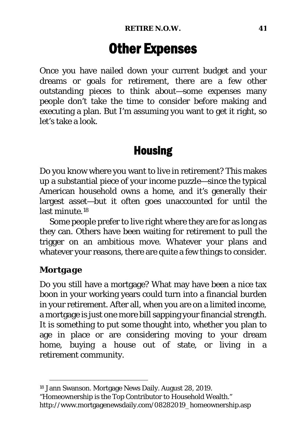# Other Expenses

Once you have nailed down your current budget and your dreams or goals for retirement, there are a few other outstanding pieces to think about—some expenses many people don't take the time to consider before making and executing a plan. But I'm assuming you want to get it right, so let's take a look.

### Housing

Do you know where you want to live in retirement? This makes up a substantial piece of your income puzzle—since the typical American household owns a home, and it's generally their largest asset—but it often goes unaccounted for until the last minute.<sup>[18](#page-55-0)</sup>

Some people prefer to live right where they are for as long as they can. Others have been waiting for retirement to pull the trigger on an ambitious move. Whatever your plans and whatever your reasons, there are quite a few things to consider.

#### *Mortgage*

Do you still have a mortgage? What may have been a nice tax boon in your working years could turn into a financial burden in your retirement. After all, when you are on a limited income, a mortgage is just one more bill sapping your financial strength. It is something to put some thought into, whether you plan to age in place or are considering moving to your dream home, buying a house out of state, or living in a retirement community.

<span id="page-55-0"></span><sup>18</sup> Jann Swanson. Mortgage News Daily. August 28, 2019.

<sup>&</sup>quot;Homeownership is the Top Contributor to Household Wealth." http://www.mortgagenewsdaily.com/08282019\_homeownership.asp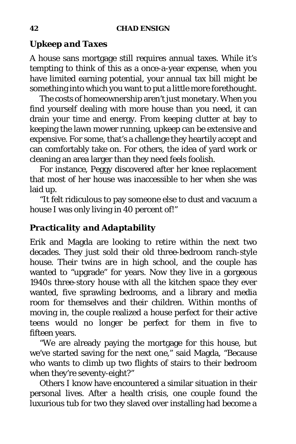#### *Upkeep and Taxes*

A house sans mortgage still requires annual taxes. While it's tempting to think of this as a once-a-year expense, when you have limited earning potential, your annual tax bill might be something into which you want to put a little more forethought.

The costs of homeownership aren't just monetary. When you find yourself dealing with more house than you need, it can drain your time and energy. From keeping clutter at bay to keeping the lawn mower running, upkeep can be extensive and expensive. For some, that's a challenge they heartily accept and can comfortably take on. For others, the idea of yard work or cleaning an area larger than they need feels foolish.

For instance, Peggy discovered after her knee replacement that most of her house was inaccessible to her when she was laid up.

"It felt ridiculous to pay someone else to dust and vacuum a house I was only living in 40 percent of!"

#### *Practicality and Adaptability*

Erik and Magda are looking to retire within the next two decades. They just sold their old three-bedroom ranch-style house. Their twins are in high school, and the couple has wanted to "upgrade" for years. Now they live in a gorgeous 1940s three-story house with all the kitchen space they ever wanted, five sprawling bedrooms, and a library and media room for themselves and their children. Within months of moving in, the couple realized a house perfect for their active teens would no longer be perfect for them in five to fifteen years.

"We are already paying the mortgage for this house, but we've started saving for the next one," said Magda, "Because who wants to climb up two flights of stairs to their bedroom when they're seventy-eight?"

Others I know have encountered a similar situation in their personal lives. After a health crisis, one couple found the luxurious tub for two they slaved over installing had become a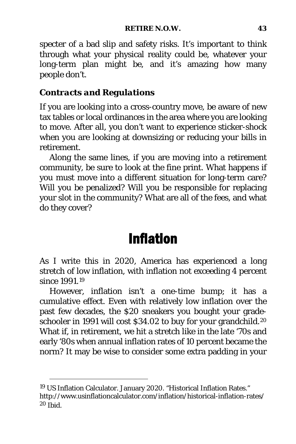specter of a bad slip and safety risks. It's important to think through what your physical reality could be, whatever your long-term plan might be, and it's amazing how many people don't.

#### *Contracts and Regulations*

If you are looking into a cross-country move, be aware of new tax tables or local ordinances in the area where you are looking to move. After all, you don't want to experience sticker-shock when you are looking at downsizing or reducing your bills in retirement.

Along the same lines, if you are moving into a retirement community, be sure to look at the fine print. What happens if you must move into a different situation for long-term care? Will you be penalized? Will you be responsible for replacing your slot in the community? What are all of the fees, and what do they cover?

# Inflation

As I write this in 2020, America has experienced a long stretch of low inflation, with inflation not exceeding 4 percent since 1991.[19](#page-57-0)

However, inflation isn't a one-time bump; it has a cumulative effect. Even with relatively low inflation over the past few decades, the \$20 sneakers you bought your grade-schooler in 1991 will cost \$34.02 to buy for your grandchild.<sup>[20](#page-57-1)</sup> What if, in retirement, we hit a stretch like in the late '70s and early '80s when annual inflation rates of 10 percent became the norm? It may be wise to consider some extra padding in your

<span id="page-57-1"></span><span id="page-57-0"></span><sup>19</sup> US Inflation Calculator. January 2020. "Historical Inflation Rates." http://www.usinflationcalculator.com/inflation/historical-inflation-rates/ <sup>20</sup> Ibid.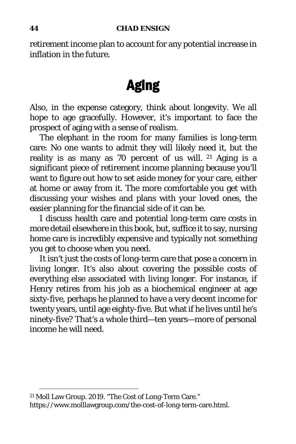retirement income plan to account for any potential increase in inflation in the future.

# Aging

Also, in the expense category, think about longevity. We all hope to age gracefully. However, it's important to face the prospect of aging with a sense of realism.

The elephant in the room for many families is long-term care: No one wants to admit they will likely need it, but the reality is as many as 70 percent of us will. [21](#page-58-0) Aging is a significant piece of retirement income planning because you'll want to figure out how to set aside money for your care, either at home or away from it. The more comfortable you get with discussing your wishes and plans with your loved ones, the easier planning for the financial side of it can be.

I discuss health care and potential long-term care costs in more detail elsewhere in this book, but, suffice it to say, nursing home care is incredibly expensive and typically not something you get to choose when you need.

It isn't just the costs of long-term care that pose a concern in living longer. It's also about covering the possible costs of everything else associated with living longer. For instance, if Henry retires from his job as a biochemical engineer at age sixty-five, perhaps he planned to have a very decent income for twenty years, until age eighty-five. But what if he lives until he's ninety-five? That's a whole third—ten years—more of personal income he will need.

<span id="page-58-0"></span><sup>21</sup> Moll Law Group. 2019. "The Cost of Long-Term Care." https://www.molllawgroup.com/the-cost-of-long-term-care.html.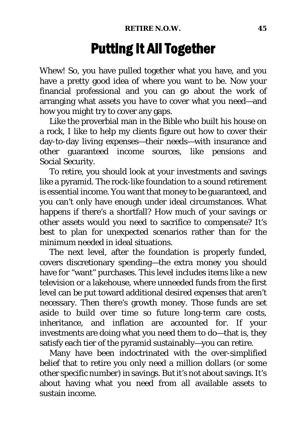# Putting It All Together

Whew! So, you have pulled together what you have, and you have a pretty good idea of where you want to be. Now your financial professional and you can go about the work of arranging what assets you *have* to cover what you need—and how you might try to cover any gaps.

Like the proverbial man in the Bible who built his house on a rock, I like to help my clients figure out how to cover their day-to-day living expenses—their needs—with insurance and other guaranteed income sources, like pensions and Social Security.

To retire, you should look at your investments and savings like a pyramid. The rock-like foundation to a sound retirement is essential income. You want that money to be guaranteed, and you can't only have enough under ideal circumstances. What happens if there's a shortfall? How much of your savings or other assets would you need to sacrifice to compensate? It's best to plan for unexpected scenarios rather than for the minimum needed in ideal situations.

The next level, after the foundation is properly funded, covers discretionary spending—the extra money you should have for "want" purchases. This level includes items like a new television or a lakehouse, where unneeded funds from the first level can be put toward additional desired expenses that aren't necessary. Then there's growth money. Those funds are set aside to build over time so future long-term care costs, inheritance, and inflation are accounted for. If your investments are doing what you need them to do—that is, they satisfy each tier of the pyramid sustainably—you can retire.

Many have been indoctrinated with the over-simplified belief that to retire you only need a million dollars (or some other specific number) in savings. But it's not about savings. It's about having what you need from all available assets to sustain income.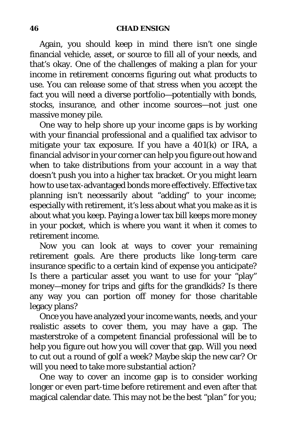Again, you should keep in mind there isn't one single financial vehicle, asset, or source to fill all of your needs, and that's okay. One of the challenges of making a plan for your income in retirement concerns figuring out what products to use. You can release some of that stress when you accept the fact you will need a diverse portfolio—potentially with bonds, stocks, insurance, and other income sources—not just one massive money pile.

One way to help shore up your income gaps is by working with your financial professional and a qualified tax advisor to mitigate your tax exposure. If you have a 401(k) or IRA, a financial advisor in your corner can help you figure out how and when to take distributions from your account in a way that doesn't push you into a higher tax bracket. Or you might learn how to use tax-advantaged bonds more effectively. Effective tax planning isn't necessarily about "adding" to your income; especially with retirement, it's less about what you make as it is about what you keep. Paying a lower tax bill keeps more money in your pocket, which is where you want it when it comes to retirement income.

Now you can look at ways to cover your remaining retirement goals. Are there products like long-term care insurance specific to a certain kind of expense you anticipate? Is there a particular asset you want to use for your "play" money—money for trips and gifts for the grandkids? Is there any way you can portion off money for those charitable legacy plans?

Once you have analyzed your income wants, needs, and your realistic assets to cover them, you may have a gap. The masterstroke of a competent financial professional will be to help you figure out how you will cover that gap. Will you need to cut out a round of golf a week? Maybe skip the new car? Or will you need to take more substantial action?

One way to cover an income gap is to consider working longer or even part-time before retirement and even after that magical calendar date. This may not be the best "plan" for you;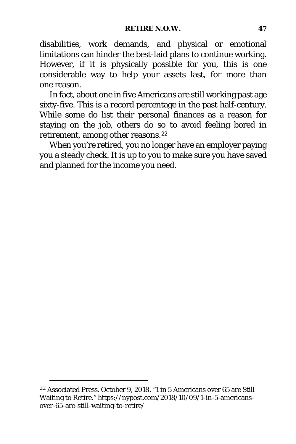disabilities, work demands, and physical or emotional limitations can hinder the best-laid plans to continue working. However, if it is physically possible for you, this is one considerable way to help your assets last, for more than one reason.

In fact, about one in five Americans are still working past age sixty-five. This is a record percentage in the past half-century. While some do list their personal finances as a reason for staying on the job, others do so to avoid feeling bored in retirement, among other reasons.[22](#page-61-0)

When you're retired, you no longer have an employer paying you a steady check. It is up to you to make sure you have saved and planned for the income you need.

<span id="page-61-0"></span><sup>22</sup> Associated Press. October 9, 2018. "1 in 5 Americans over 65 are Still Waiting to Retire." https://nypost.com/2018/10/09/1-in-5-americansover-65-are-still-waiting-to-retire/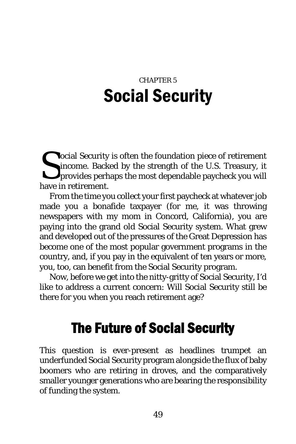# CHAPTER 5 Social Security

ocial Security is often the foundation piece of retirement income. Backed by the strength of the U.S. Treasury, it provides perhaps the most dependable paycheck you will have in retirement. S<sub>have</sub>

From the time you collect your first paycheck at whatever job made you a bonafide taxpayer (for me, it was throwing newspapers with my mom in Concord, California), you are paying into the grand old Social Security system. What grew and developed out of the pressures of the Great Depression has become one of the most popular government programs in the country, and, if you pay in the equivalent of ten years or more, you, too, can benefit from the Social Security program.

Now, before we get into the nitty-gritty of Social Security, I'd like to address a current concern: Will Social Security still be there for you when you reach retirement age?

# The Future of Social Security

This question is ever-present as headlines trumpet an underfunded Social Security program alongside the flux of baby boomers who are retiring in droves, and the comparatively smaller younger generations who are bearing the responsibility of funding the system.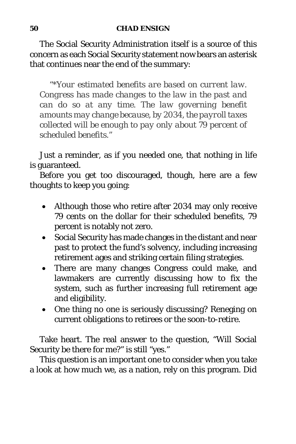The Social Security Administration itself is a source of this concern as each Social Security statement now bears an asterisk that continues near the end of the summary:

*"\*Your estimated benefits are based on current law. Congress has made changes to the law in the past and can do so at any time. The law governing benefit amounts may change because, by 2034, the payroll taxes collected will be enough to pay only about 79 percent of scheduled benefits."*

Just a reminder, as if you needed one, that nothing in life is guaranteed.

Before you get too discouraged, though, here are a few thoughts to keep you going:

- Although those who retire after 2034 may only receive 79 cents on the dollar for their scheduled benefits, 79 percent is notably not zero.
- Social Security has made changes in the distant and near past to protect the fund's solvency, including increasing retirement ages and striking certain filing strategies.
- There are many changes Congress could make, and lawmakers are currently discussing how to fix the system, such as further increasing full retirement age and eligibility.
- One thing no one is seriously discussing? Reneging on current obligations to retirees or the soon-to-retire.

Take heart. The real answer to the question, "Will Social Security be there for me?" is still "yes."

This question is an important one to consider when you take a look at how much we, as a nation, rely on this program. Did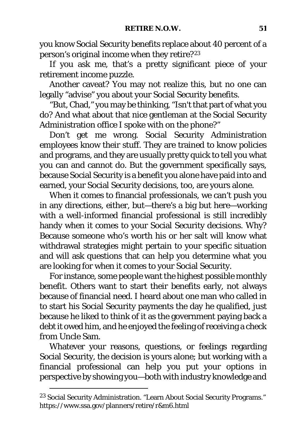you know Social Security benefits replace about 40 percent of a person's original income when they retire?<sup>[23](#page-65-0)</sup>

If you ask me, that's a pretty significant piece of your retirement income puzzle.

Another caveat? You may not realize this, but no one can legally "advise" you about your Social Security benefits.

"But, Chad," you may be thinking, "Isn't that part of what you do? And what about that nice gentleman at the Social Security Administration office I spoke with on the phone?"

Don't get me wrong. Social Security Administration employees know their stuff. They are trained to know policies and programs, and they are usually pretty quick to tell you what you can and cannot do. But the government specifically says, because Social Security is a benefit you alone have paid into and earned, your Social Security decisions, too, are yours alone.

When it comes to financial professionals, we can't push you in any directions, either, *but*—there's a big but here—working with a well-informed financial professional is still incredibly handy when it comes to your Social Security decisions. Why? Because someone who's worth his or her salt will know what withdrawal strategies might pertain to your specific situation and will ask questions that can help you determine what you are looking for when it comes to your Social Security.

For instance, some people want the highest possible monthly benefit. Others want to start their benefits early, not always because of financial need. I heard about one man who called in to start his Social Security payments the day he qualified, just because he liked to think of it as the government paying back a debt it owed him, and he enjoyed the feeling of receiving a check from Uncle Sam.

Whatever your reasons, questions, or feelings regarding Social Security, the decision is yours alone; but working with a financial professional can help you put your options in perspective by showing you—both with industry knowledge and

<span id="page-65-0"></span><sup>23</sup> Social Security Administration. "Learn About Social Security Programs." https://www.ssa.gov/planners/retire/r&m6.html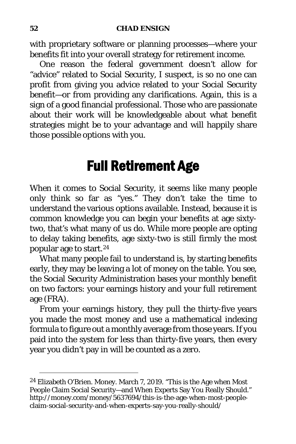with proprietary software or planning processes—where your benefits fit into your overall strategy for retirement income.

One reason the federal government doesn't allow for "advice" related to Social Security, I suspect, is so no one can profit from giving you advice related to your Social Security benefit—or from providing any clarifications. Again, this is a sign of a good financial professional. Those who are passionate about their work will be knowledgeable about what benefit strategies might be to your advantage and will happily share those possible options with you.

## Full Retirement Age

When it comes to Social Security, it seems like many people only think so far as "yes." They don't take the time to understand the various options available. Instead, because it is common knowledge you can begin your benefits at age sixtytwo, that's what many of us do. While more people are opting to delay taking benefits, age sixty-two is still firmly the most popular age to start.[24](#page-66-0)

What many people fail to understand is, by starting benefits early, they may be leaving a lot of money on the table. You see, the Social Security Administration bases your monthly benefit on two factors: your earnings history and your full retirement age (FRA).

From your earnings history, they pull the thirty-five years you made the most money and use a mathematical indexing formula to figure out a monthly average from those years. If you paid into the system for less than thirty-five years, then every year you didn't pay in will be counted as a zero.

<span id="page-66-0"></span><sup>24</sup> Elizabeth O'Brien. Money. March 7, 2019. "This is the Age when Most People Claim Social Security-and When Experts Say You Really Should." http://money.com/money/5637694/this-is-the-age-when-most-peopleclaim-social-security-and-when-experts-say-you-really-should/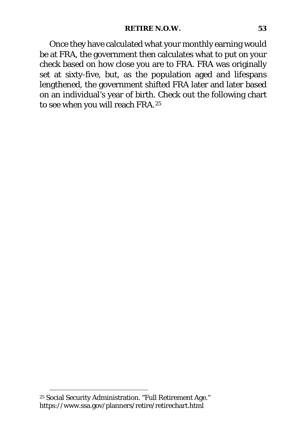Once they have calculated what your monthly earning would be at FRA, the government then calculates what to put on your check based on how close you are to FRA. FRA was originally set at sixty-five, but, as the population aged and lifespans lengthened, the government shifted FRA later and later based on an individual's year of birth. Check out the following chart to see when you will reach FRA.[25](#page-67-0)

<span id="page-67-0"></span><sup>25</sup> Social Security Administration. "Full Retirement Age." https://www.ssa.gov/planners/retire/retirechart.html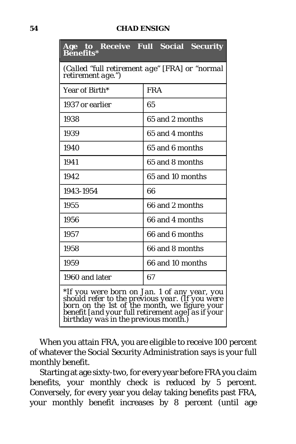#### **54 CHAD ENSIGN**

| <b>Benefits*</b>                                                                                                                                                                                                                                 | <b>Age to Receive Full Social Security</b> |  |  |  |  |  |  |
|--------------------------------------------------------------------------------------------------------------------------------------------------------------------------------------------------------------------------------------------------|--------------------------------------------|--|--|--|--|--|--|
| (Called "full retirement age" [FRA] or "normal<br>retirement age.")                                                                                                                                                                              |                                            |  |  |  |  |  |  |
| Year of Birth*                                                                                                                                                                                                                                   | <b>FRA</b>                                 |  |  |  |  |  |  |
| 1937 or earlier                                                                                                                                                                                                                                  | 65                                         |  |  |  |  |  |  |
| 1938                                                                                                                                                                                                                                             | 65 and 2 months                            |  |  |  |  |  |  |
| 1939                                                                                                                                                                                                                                             | 65 and 4 months                            |  |  |  |  |  |  |
| 1940                                                                                                                                                                                                                                             | 65 and 6 months                            |  |  |  |  |  |  |
| 1941                                                                                                                                                                                                                                             | 65 and 8 months                            |  |  |  |  |  |  |
| 1942                                                                                                                                                                                                                                             | 65 and 10 months                           |  |  |  |  |  |  |
| 1943-1954                                                                                                                                                                                                                                        | 66                                         |  |  |  |  |  |  |
| 1955                                                                                                                                                                                                                                             | 66 and 2 months                            |  |  |  |  |  |  |
| 1956                                                                                                                                                                                                                                             | 66 and 4 months                            |  |  |  |  |  |  |
| 1957                                                                                                                                                                                                                                             | 66 and 6 months                            |  |  |  |  |  |  |
| 1958                                                                                                                                                                                                                                             | 66 and 8 months                            |  |  |  |  |  |  |
| 1959                                                                                                                                                                                                                                             | 66 and 10 months                           |  |  |  |  |  |  |
| 1960 and later                                                                                                                                                                                                                                   | 67                                         |  |  |  |  |  |  |
| <i>*If you were born on Jan. 1 of any year, you should refer to the previous year. (If you were</i><br>born on the 1st of the month, we figure your<br>benefit [and your full retirement age] as if your<br>birthday was in the previous month.) |                                            |  |  |  |  |  |  |

When you attain FRA, you are eligible to receive 100 percent of whatever the Social Security Administration says is your full monthly benefit.

Starting at age sixty-two, for every year before FRA you claim benefits, your monthly check is reduced by 5 percent. Conversely, for every year you delay taking benefits past FRA, your monthly benefit increases by 8 percent (until age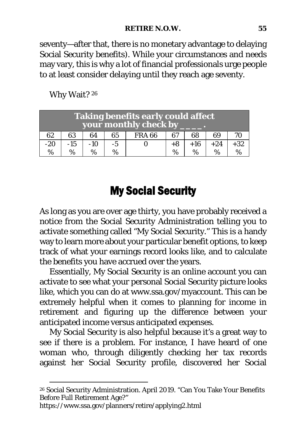seventy—after that, there is no monetary advantage to delaying Social Security benefits). While your circumstances and needs may vary, this is why a lot of financial professionals urge people to at least consider delaying until they reach age seventy.

| <b>Taking benefits early could affect</b><br>your monthly check by |       |       |      |               |      |       |       |       |
|--------------------------------------------------------------------|-------|-------|------|---------------|------|-------|-------|-------|
| 62                                                                 | 63    | 64    | 65   | <b>FRA 66</b> | 67   | 68    | 69    | 70    |
| $-20$                                                              | $-15$ | $-10$ | $-5$ |               | +8   | $+16$ | $+24$ | $+32$ |
| %                                                                  | $\%$  | $\%$  |      |               | $\%$ | $\%$  | $\%$  | %     |

Why Wait? [26](#page-69-0)

### My Social Security

As long as you are over age thirty, you have probably received a notice from the Social Security Administration telling you to activate something called "My Social Security." This is a handy way to learn more about your particular benefit options, to keep track of what your earnings record looks like, and to calculate the benefits you have accrued over the years.

Essentially, My Social Security is an online account you can activate to see what your personal Social Security picture looks like, which you can do at www.ssa.gov/myaccount. This can be extremely helpful when it comes to planning for income in retirement and figuring up the difference between your anticipated income versus anticipated expenses.

My Social Security is also helpful because it's a great way to see if there is a problem. For instance, I have heard of one woman who, through diligently checking her tax records against her Social Security profile, discovered her Social

https://www.ssa.gov/planners/retire/applying2.html

<span id="page-69-0"></span><sup>26</sup> Social Security Administration. April 2019. "Can You Take Your Benefits Before Full Retirement Age?"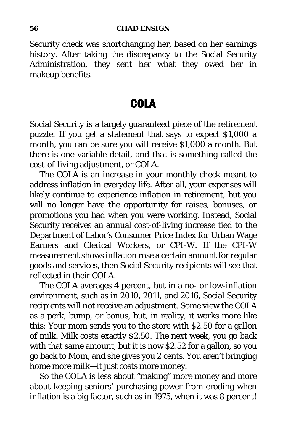Security check was shortchanging her, based on her earnings history. After taking the discrepancy to the Social Security Administration, they sent her what they owed her in makeup benefits.

### COLA

Social Security is a largely guaranteed piece of the retirement puzzle: If you get a statement that says to expect \$1,000 a month, you can be sure you will receive \$1,000 a month. But there is one variable detail, and that is something called the cost-of-living adjustment, or COLA.

The COLA is an increase in your monthly check meant to address inflation in everyday life. After all, your expenses will likely continue to experience inflation in retirement, but you will no longer have the opportunity for raises, bonuses, or promotions you had when you were working. Instead, Social Security receives an annual cost-of-living increase tied to the Department of Labor's Consumer Price Index for Urban Wage Earners and Clerical Workers, or CPI-W. If the CPI-W measurement shows inflation rose a certain amount for regular goods and services, then Social Security recipients will see that reflected in their COLA.

The COLA averages 4 percent, but in a no- or low-inflation environment, such as in 2010, 2011, and 2016, Social Security recipients will not receive an adjustment. Some view the COLA as a perk, bump, or bonus, but, in reality, it works more like this: Your mom sends you to the store with \$2.50 for a gallon of milk. Milk costs exactly \$2.50. The next week, you go back with that same amount, but it is now \$2.52 for a gallon, so you go back to Mom, and she gives you 2 cents. You aren't bringing home more milk—it just costs more money.

So the COLA is less about "making" more money and more about keeping seniors' purchasing power from eroding when inflation is a big factor, such as in 1975, when it was 8 percent!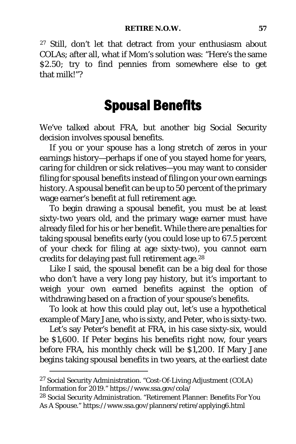[27](#page-71-0) Still, don't let that detract from your enthusiasm about COLAs; after all, what if Mom's solution was: "Here's the same \$2.50; try to find pennies from somewhere else to get that milk!"?

## Spousal Benefits

We've talked about FRA, but another big Social Security decision involves spousal benefits.

If you or your spouse has a long stretch of zeros in your earnings history—perhaps if one of you stayed home for years, caring for children or sick relatives—you may want to consider filing for spousal benefits instead of filing on your own earnings history. A spousal benefit can be up to 50 percent of the primary wage earner's benefit at full retirement age.

To begin drawing a spousal benefit, you must be at least sixty-two years old, and the primary wage earner must have already filed for his or her benefit. While there are penalties for taking spousal benefits early (you could lose up to 67.5 percent of your check for filing at age sixty-two), you cannot earn credits for delaying past full retirement age.[28](#page-71-1)

Like I said, the spousal benefit can be a big deal for those who don't have a very long pay history, but it's important to weigh your own earned benefits against the option of withdrawing based on a fraction of your spouse's benefits.

To look at how this could play out, let's use a hypothetical example of Mary Jane, who is sixty, and Peter, who is sixty-two.

Let's say Peter's benefit at FRA, in his case sixty-six, would be \$1,600. If Peter begins his benefits right now, four years before FRA, his monthly check will be \$1,200. If Mary Jane begins taking spousal benefits in two years, at the earliest date

<span id="page-71-0"></span><sup>27</sup> Social Security Administration. "Cost-Of-Living Adjustment (COLA) Information for 2019." https://www.ssa.gov/cola/

<span id="page-71-1"></span><sup>28</sup> Social Security Administration. "Retirement Planner: Benefits For You As A Spouse." https://www.ssa.gov/planners/retire/applying6.html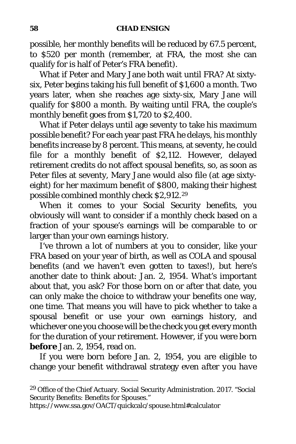possible, her monthly benefits will be reduced by 67.5 percent, to \$520 per month (remember, at FRA, the most she can qualify for is half of Peter's FRA benefit).

What if Peter and Mary Jane both wait until FRA? At sixtysix, Peter begins taking his full benefit of \$1,600 a month. Two years later, when she reaches age sixty-six, Mary Jane will qualify for \$800 a month. By waiting until FRA, the couple's monthly benefit goes from \$1,720 to \$2,400.

What if Peter delays until age seventy to take his maximum possible benefit? For each year past FRA he delays, his monthly benefits increase by 8 percent. This means, at seventy, he could file for a monthly benefit of \$2,112. However, delayed retirement credits do not affect spousal benefits, so, as soon as Peter files at seventy, Mary Jane would also file (at age sixtyeight) for her maximum benefit of \$800, making their highest possible combined monthly check \$2,912.[29](#page-72-0)

When it comes to your Social Security benefits, you obviously will want to consider if a monthly check based on a fraction of your spouse's earnings will be comparable to or larger than your own earnings history.

I've thrown a lot of numbers at you to consider, like your FRA based on your year of birth, as well as COLA and spousal benefits (and we haven't even gotten to taxes!), but here's another date to think about: Jan. 2, 1954. What's important about that, you ask? For those born on or after that date, you can only make the choice to withdraw your benefits one way, one time. That means you will have to pick whether to take a spousal benefit or use your own earnings history, and whichever one you choose will be the check you get every month for the duration of your retirement. However, if you were born *before* Jan. 2, 1954, read on.

If you were born before Jan. 2, 1954, you are eligible to change your benefit withdrawal strategy *even after you have* 

https://www.ssa.gov/OACT/quickcalc/spouse.html#calculator

<span id="page-72-0"></span><sup>29</sup> Office of the Chief Actuary. Social Security Administration. 2017. "Social Security Benefits: Benefits for Spouses."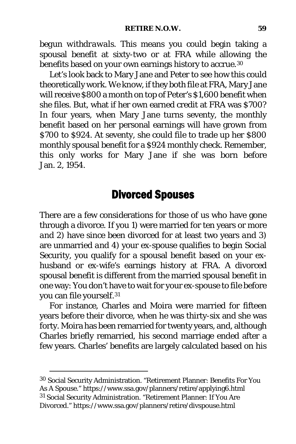*begun withdrawals*. This means you could begin taking a spousal benefit at sixty-two or at FRA while allowing the benefits based on your own earnings history to accrue.<sup>[30](#page-73-0)</sup>

Let's look back to Mary Jane and Peter to see how this could theoretically work. We know, if they both file at FRA, Mary Jane will receive \$800 a month on top of Peter's \$1,600 benefit when she files. But, what if her own earned credit at FRA was \$700? In four years, when Mary Jane turns seventy, the monthly benefit based on her personal earnings will have grown from \$700 to \$924. At seventy, she could file to trade up her \$800 monthly spousal benefit for a \$924 monthly check. Remember, this only works for Mary Jane if she was born before Jan. 2, 1954.

## Divorced Spouses

There are a few considerations for those of us who have gone through a divorce. If you 1) were married for ten years or more *and* 2) have since been divorced for at least two years *and* 3) are unmarried *and* 4) your ex-spouse qualifies to begin Social Security, you qualify for a spousal benefit based on your exhusband or ex-wife's earnings history at FRA. A divorced spousal benefit is different from the married spousal benefit in one way: You don't have to wait for your ex-spouse to file before you can file yourself.[31](#page-73-1)

For instance, Charles and Moira were married for fifteen years before their divorce, when he was thirty-six and she was forty. Moira has been remarried for twenty years, and, although Charles briefly remarried, his second marriage ended after a few years. Charles' benefits are largely calculated based on his

<span id="page-73-1"></span><span id="page-73-0"></span><sup>30</sup> Social Security Administration. "Retirement Planner: Benefits For You As A Spouse." https://www.ssa.gov/planners/retire/applying6.html <sup>31</sup> Social Security Administration. "Retirement Planner: If You Are Divorced." https://www.ssa.gov/planners/retire/divspouse.html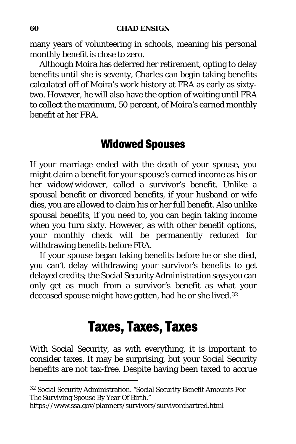many years of volunteering in schools, meaning his personal monthly benefit is close to zero.

Although Moira has deferred her retirement, opting to delay benefits until she is seventy, Charles can begin taking benefits calculated off of Moira's work history at FRA as early as sixtytwo. However, he will also have the option of waiting until FRA to collect the maximum, 50 percent, of Moira's earned monthly benefit at her FRA.

## Widowed Spouses

If your marriage ended with the death of your spouse, you might claim a benefit for your spouse's earned income as his or her widow/widower, called a survivor's benefit. Unlike a spousal benefit or divorced benefits, if your husband or wife dies, you are allowed to claim his or her full benefit. Also unlike spousal benefits, if you need to, you can begin taking income when you turn sixty. However, as with other benefit options, your monthly check will be permanently reduced for withdrawing benefits before FRA.

If your spouse began taking benefits before he or she died, you can't delay withdrawing your survivor's benefits to get delayed credits; the Social Security Administration says you can only get as much from a survivor's benefit as what your deceased spouse might have gotten, had he or she lived.<sup>[32](#page-74-0)</sup>

# Taxes, Taxes, Taxes

With Social Security, as with everything, it is important to consider taxes. It may be surprising, but your Social Security benefits are not tax-free. Despite having been taxed to accrue

<span id="page-74-0"></span><sup>32</sup> Social Security Administration. "Social Security Benefit Amounts For The Surviving Spouse By Year Of Birth."

https://www.ssa.gov/planners/survivors/survivorchartred.html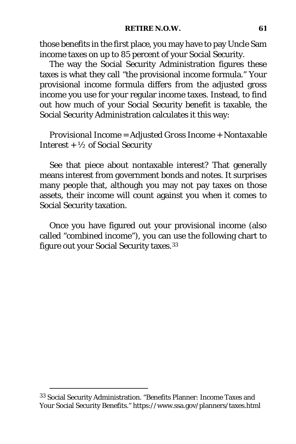those benefits in the first place, you may have to pay Uncle Sam income taxes on up to 85 percent of your Social Security.

The way the Social Security Administration figures these taxes is what they call "the provisional income formula." Your provisional income formula differs from the adjusted gross income you use for your regular income taxes. Instead, to find out how much of your Social Security benefit is taxable, the Social Security Administration calculates it this way:

### *Provisional Income = Adjusted Gross Income + Nontaxable Interest + ½ of Social Security*

See that piece about nontaxable interest? That generally means interest from government bonds and notes. It surprises many people that, although you may not pay taxes on those assets, their income will count against you when it comes to Social Security taxation.

Once you have figured out your provisional income (also called "combined income"), you can use the following chart to figure out your Social Security taxes.[33](#page-75-0)

<span id="page-75-0"></span><sup>33</sup> Social Security Administration. "Benefits Planner: Income Taxes and Your Social Security Benefits." https://www.ssa.gov/planners/taxes.html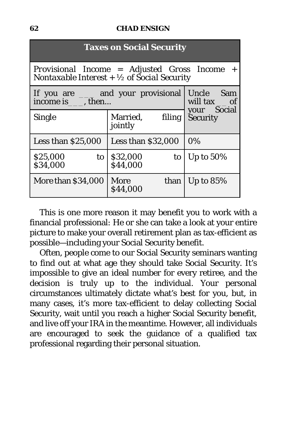#### **62 CHAD ENSIGN**

| <b>Taxes on Social Security</b>                                                                          |                            |                                |
|----------------------------------------------------------------------------------------------------------|----------------------------|--------------------------------|
| Provisional Income = Adjusted Gross Income $+$<br>Nontaxable Interest + $\frac{1}{2}$ of Social Security |                            |                                |
| If you are <u>equilibration</u> and your provisional<br>income is _____, then                            |                            | Uncle Sam<br>will tax __ of    |
| <b>Single</b>                                                                                            | Married, filing<br>jointly | your Social<br><b>Security</b> |
| Less than $$25,000$                                                                                      | Less than $$32,000$        | 0%                             |
| \$25,000<br>to<br>\$34,000                                                                               | \$32,000<br>to<br>\$44,000 | Up to $50\%$                   |
| More than \$34,000                                                                                       | More<br>than<br>\$44,000   | Up to $85%$                    |

This is one more reason it may benefit you to work with a financial professional: He or she can take a look at your entire picture to make your overall retirement plan as tax-efficient as possible—including your Social Security benefit.

Often, people come to our Social Security seminars wanting to find out at what age they should take Social Security. It's impossible to give an ideal number for every retiree, and the decision is truly up to the individual. Your personal circumstances ultimately dictate what's best for you, but, in many cases, it's more tax-efficient to delay collecting Social Security, wait until you reach a higher Social Security benefit, and live off your IRA in the meantime. However, all individuals are encouraged to seek the guidance of a qualified tax professional regarding their personal situation.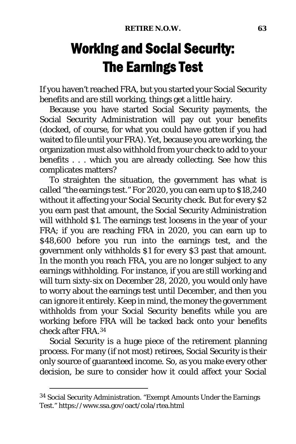# Working and Social Security: The Earnings Test

If you haven't reached FRA, but you started your Social Security benefits and are still working, things get a little hairy.

Because you have started Social Security payments, the Social Security Administration will pay out your benefits (docked, of course, for what you could have gotten if you had waited to file until your FRA). Yet, because you are working, the organization must also withhold from your check to add to your benefits . . . which you are already collecting. See how this complicates matters?

To straighten the situation, the government has what is called "the earnings test." For 2020, you can earn up to \$18,240 without it affecting your Social Security check. But for every \$2 you earn past that amount, the Social Security Administration will withhold \$1. The earnings test loosens in the year of your FRA; if you are reaching FRA in 2020, you can earn up to \$48,600 before you run into the earnings test, and the government only withholds \$1 for every \$3 past that amount. In the month you reach FRA, you are no longer subject to any earnings withholding. For instance, if you are still working and will turn sixty-six on December 28, 2020, you would only have to worry about the earnings test until December, and then you can ignore it entirely. Keep in mind, the money the government withholds from your Social Security benefits while you are working before FRA will be tacked back onto your benefits check after FRA.[34](#page-77-0)

Social Security is a huge piece of the retirement planning process. For many (if not most) retirees, Social Security is their only source of guaranteed income. So, as you make every other decision, be sure to consider how it could affect your Social

<span id="page-77-0"></span><sup>34</sup> Social Security Administration. "Exempt Amounts Under the Earnings Test." https://www.ssa.gov/oact/cola/rtea.html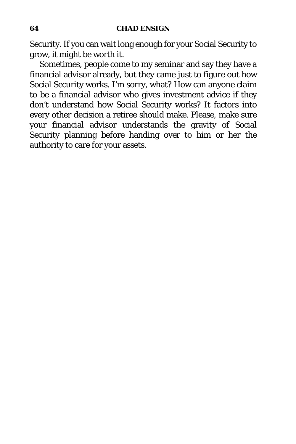Security. If you can wait long enough for your Social Security to grow, it might be worth it.

Sometimes, people come to my seminar and say they have a financial advisor already, but they came just to figure out how Social Security works. I'm sorry, what? How can anyone claim to be a financial advisor who gives investment advice if they don't understand how Social Security works? It factors into every other decision a retiree should make. Please, make sure your financial advisor understands the gravity of Social Security planning before handing over to him or her the authority to care for your assets.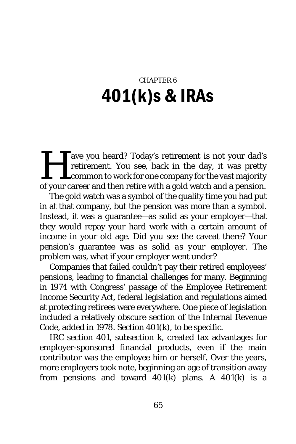# CHAPTER 6 401(k)s & IRAs

ave you heard? Today's retirement is not your dad's retirement. You see, back in the day, it was pretty common to work for one company for the vast majority of your career and then retire with a gold watch and a pension.  $\prod_{\text{of your c}}$ 

The gold watch was a symbol of the quality time you had put in at that company, but the pension was more than a symbol. Instead, it was a guarantee—as solid as your employer—that they would repay your hard work with a certain amount of income in your old age. Did you see the caveat there? Your pension's guarantee was *as solid as your employer.* The problem was, what if your employer went under?

Companies that failed couldn't pay their retired employees' pensions, leading to financial challenges for many. Beginning in 1974 with Congress' passage of the Employee Retirement Income Security Act, federal legislation and regulations aimed at protecting retirees were everywhere. One piece of legislation included a relatively obscure section of the Internal Revenue Code, added in 1978. Section 401(k), to be specific.

IRC section 401, subsection k, created tax advantages for employer-sponsored financial products, even if the main contributor was the employee him or herself. Over the years, more employers took note, beginning an age of transition away from pensions and toward  $401(k)$  plans. A  $401(k)$  is a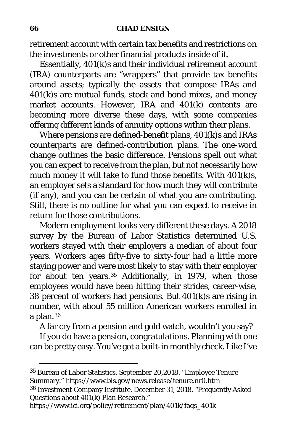#### **66 CHAD ENSIGN**

retirement account with certain tax benefits and restrictions on the investments or other financial products inside of it.

Essentially, 401(k)s and their individual retirement account (IRA) counterparts are "wrappers" that provide tax benefits around assets; typically the assets that compose IRAs and 401(k)s are mutual funds, stock and bond mixes, and money market accounts. However, IRA and 401(k) contents are becoming more diverse these days, with some companies offering different kinds of annuity options within their plans.

Where pensions are defined-*benefit* plans, 401(k)s and IRAs counterparts are defined-*contribution* plans. The one-word change outlines the basic difference. Pensions spell out what you can expect to receive from the plan, but not necessarily how much money it will take to fund those benefits. With 401(k)s, an employer sets a standard for how much they will contribute (if any), and you can be certain of what you are contributing. Still, there is no outline for what you can expect to receive in return for those contributions.

Modern employment looks very different these days. A 2018 survey by the Bureau of Labor Statistics determined U.S. workers stayed with their employers a median of about four years. Workers ages fifty-five to sixty-four had a little more staying power and were most likely to stay with their employer for about ten years.<sup>[35](#page-80-0)</sup> Additionally, in 1979, when those employees would have been hitting their strides, career-wise, 38 percent of workers had pensions. But 401(k)s are rising in number, with about 55 million American workers enrolled in a plan.[36](#page-80-1)

A far cry from a pension and gold watch, wouldn't you say?

If you do have a pension, congratulations. Planning with one can be pretty easy. You've got a built-in monthly check. Like I've

<span id="page-80-1"></span><span id="page-80-0"></span><sup>35</sup> Bureau of Labor Statistics. September 20,2018. "Employee Tenure Summary." https://www.bls.gov/news.release/tenure.nr0.htm <sup>36</sup> Investment Company Institute. December 31, 2018. "Frequently Asked Questions about 401(k) Plan Research."

https://www.ici.org/policy/retirement/plan/401k/faqs\_401k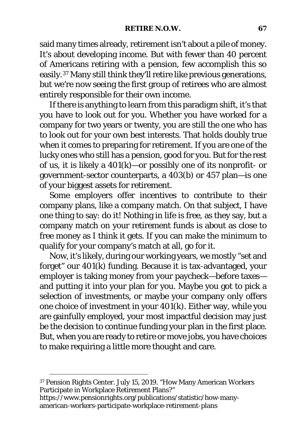said many times already, retirement isn't about a pile of money. It's about developing income. But with fewer than 40 percent of Americans retiring with a pension, few accomplish this so easily.[37](#page-81-0) Many still think they'll retire like previous generations, but we're now seeing the first group of retirees who are almost entirely responsible for their own income.

If there is anything to learn from this paradigm shift, it's that you have to look out for you. Whether you have worked for a company for two years or twenty, you are still the one who has to look out for your own best interests. That holds doubly true when it comes to preparing for retirement. If you are one of the lucky ones who still has a pension, good for you. But for the rest of us, it is likely a  $401(k)$ —or possibly one of its nonprofit- or government-sector counterparts, a 403(b) or 457 plan—is one of your biggest assets for retirement.

Some employers offer incentives to contribute to their company plans, like a company match. On that subject, I have one thing to say: *do it!* Nothing in life is free, as they say, but a company match on your retirement funds is about as close to free money as I think it gets. If you can make the minimum to qualify for your company's match at all, go for it.

Now, it's likely, during our working years, we mostly "set and forget" our 401(k) funding. Because it is tax-advantaged, your employer is taking money from your paycheck—before taxes and putting it into your plan for you. Maybe you got to pick a selection of investments, or maybe your company only offers one choice of investment in your 401(k). Either way, while you are gainfully employed, your most impactful decision may just be the decision to continue funding your plan in the first place. But, when you are ready to retire or move jobs, you have choices to make requiring a little more thought and care.

<span id="page-81-0"></span><sup>37</sup> Pension Rights Center. July 15, 2019. "How Many American Workers Participate in Workplace Retirement Plans?"

https://www.pensionrights.org/publications/statistic/how-manyamerican-workers-participate-workplace-retirement-plans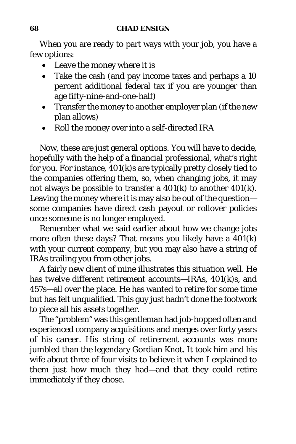When you are ready to part ways with your job, you have a few options:

- Leave the money where it is
- Take the cash (and pay income taxes and perhaps a 10 percent additional federal tax if you are younger than age fifty-nine-and-one-half)
- Transfer the money to another employer plan (if the new plan allows)
- Roll the money over into a self-directed IRA

Now, these are just general options. You will have to decide, hopefully with the help of a financial professional, what's right for you. For instance, 401(k)s are typically pretty closely tied to the companies offering them, so, when changing jobs, it may not always be possible to transfer a 401(k) to another 401(k). Leaving the money where it is may also be out of the question some companies have direct cash payout or rollover policies once someone is no longer employed.

Remember what we said earlier about how we change jobs more often these days? That means you likely have a 401(k) with your current company, but you may also have a string of IRAs trailing you from other jobs.

A fairly new client of mine illustrates this situation well. He has *twelve* different retirement accounts—IRAs, 401(k)s, and 457s—all over the place. He has wanted to retire for some time but has felt unqualified. This guy just hadn't done the footwork to piece all his assets together.

The "problem" was this gentleman had job-hopped often and experienced company acquisitions and merges over forty years of his career. His string of retirement accounts was more jumbled than the legendary Gordian Knot. It took him and his wife about three of four visits to believe it when I explained to them just how much they had—and that they could retire immediately if they chose.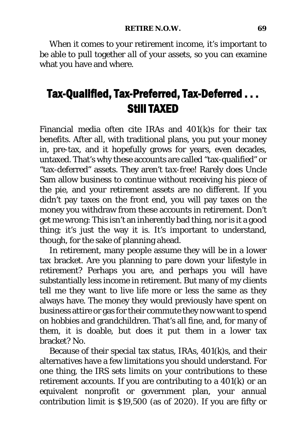When it comes to your retirement income, it's important to be able to pull together *all* of your assets, so you can examine what you have and where.

## Tax-Qualified, Tax-Preferred, Tax-Deferred . . . Still TAXED

Financial media often cite IRAs and 401(k)s for their tax benefits. After all, with traditional plans, you put your money in, pre-tax, and it hopefully grows for years, even decades, untaxed. That's why these accounts are called "tax-qualified" or "tax-deferred" assets. They aren't *tax-free*! Rarely does Uncle Sam allow business to continue without receiving his piece of the pie, and your retirement assets are no different. If you didn't pay taxes on the front end, you will pay taxes on the money you withdraw from these accounts in retirement. Don't get me wrong: This isn't an inherently bad thing, nor is it a good thing; it's just the way it is. It's important to understand, though, for the sake of planning ahead.

In retirement, many people assume they will be in a lower tax bracket. Are you planning to pare down your lifestyle in retirement? Perhaps you are, and perhaps you will have substantially less income in retirement. But many of my clients tell me they want to live life more or less the same as they always have. The money they would previously have spent on business attire or gas for their commute they now want to spend on hobbies and grandchildren. That's all fine, and, for many of them, it is doable, but does it put them in a lower tax bracket? No.

Because of their special tax status, IRAs, 401(k)s, and their alternatives have a few limitations you should understand. For one thing, the IRS sets limits on your contributions to these retirement accounts. If you are contributing to a 401(k) or an equivalent nonprofit or government plan, your annual contribution limit is \$19,500 (as of 2020). If you are fifty or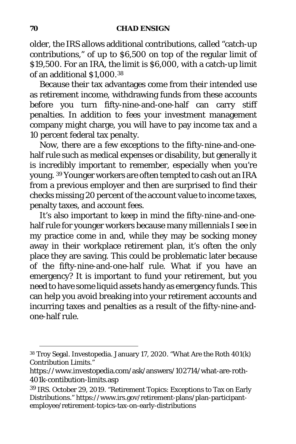older, the IRS allows additional contributions, called "catch-up contributions," of up to \$6,500 on top of the regular limit of \$19,500. For an IRA, the limit is \$6,000, with a catch-up limit of an additional \$1,000.[38](#page-84-0)

Because their tax advantages come from their intended use as retirement income, withdrawing funds from these accounts before you turn fifty-nine-and-one-half can carry stiff penalties. In addition to fees your investment management company might charge, you will have to pay income tax *and* a 10 percent federal tax penalty.

Now, there are a few exceptions to the fifty-nine-and-onehalf rule such as medical expenses or disability, but generally it is incredibly important to remember, especially when you're young. [39](#page-84-1) Younger workers are often tempted to cash out an IRA from a previous employer and then are surprised to find their checks missing 20 percent of the account value to income taxes, penalty taxes, and account fees.

It's also important to keep in mind the fifty-nine-and-onehalf rule for younger workers because many millennials I see in my practice come in and, while they may be socking money away in their workplace retirement plan, it's often the *only*  place they are saving. This could be problematic later because of the fifty-nine-and-one-half rule. What if you have an emergency? It is important to fund your retirement, but you need to have some liquid assets handy as emergency funds. This can help you avoid breaking into your retirement accounts and incurring taxes and penalties as a result of the fifty-nine-andone-half rule.

<span id="page-84-0"></span><sup>38</sup> Troy Segal. Investopedia. January 17, 2020. "What Are the Roth 401(k) Contribution Limits."

https://www.investopedia.com/ask/answers/102714/what-are-roth-401k-contibution-limits.asp

<span id="page-84-1"></span><sup>39</sup> IRS. October 29, 2019. "Retirement Topics: Exceptions to Tax on Early Distributions." https://www.irs.gov/retirement-plans/plan-participantemployee/retirement-topics-tax-on-early-distributions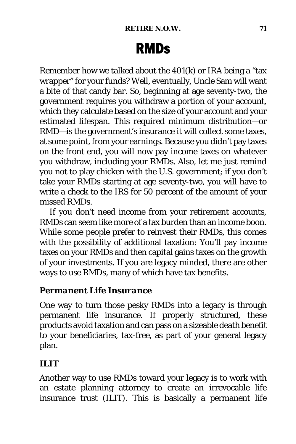# RMDs

Remember how we talked about the 401(k) or IRA being a "tax wrapper" for your funds? Well, eventually, Uncle Sam will want a bite of that candy bar. So, beginning at age seventy-two, the government requires you withdraw a portion of your account, which they calculate based on the size of your account and your estimated lifespan. This required minimum distribution—or RMD—is the government's insurance it will collect some taxes, at some point, from your earnings. Because you didn't pay taxes on the front end, you will now pay income taxes on whatever you withdraw, including your RMDs. *Also*, let me just remind you not to play chicken with the U.S. government; if you don't take your RMDs starting at age seventy-two, you will have to write a check to the IRS for 50 *percent* of the amount of your missed RMDs.

If you don't need income from your retirement accounts, RMDs can seem like more of a tax burden than an income boon. While some people prefer to reinvest their RMDs, this comes with the possibility of additional taxation: You'll pay income taxes on your RMDs and then capital gains taxes on the growth of your investments. If you are legacy minded, there are other ways to use RMDs, many of which have tax benefits.

### *Permanent Life Insurance*

One way to turn those pesky RMDs into a legacy is through permanent life insurance. If properly structured, these products avoid taxation and can pass on a sizeable death benefit to your beneficiaries, tax-free, as part of your general legacy plan.

### *ILIT*

Another way to use RMDs toward your legacy is to work with an estate planning attorney to create an irrevocable life insurance trust (ILIT). This is basically a permanent life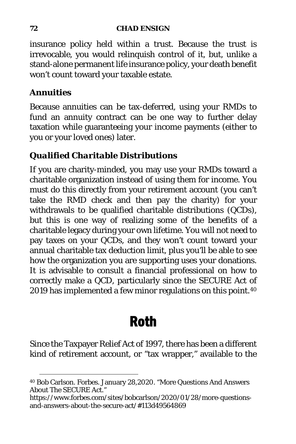#### **72 CHAD ENSIGN**

insurance policy held within a trust. Because the trust is irrevocable, you would relinquish control of it, but, unlike a stand-alone permanent life insurance policy, your death benefit won't count toward your taxable estate.

### *Annuities*

Because annuities can be tax-deferred, using your RMDs to fund an annuity contract can be one way to further delay taxation while guaranteeing your income payments (either to you or your loved ones) later.

### *Qualified Charitable Distributions*

If you are charity-minded, you may use your RMDs toward a charitable organization instead of using them for income. You must do this directly from your retirement account (you can't take the RMD check and *then* pay the charity) for your withdrawals to be qualified charitable distributions (QCDs), but this is one way of realizing some of the benefits of a charitable legacy during your own lifetime. You will not need to pay taxes on your QCDs, and they won't count toward your annual charitable tax deduction limit, plus you'll be able to see how the organization you are supporting uses your donations. It is advisable to consult a financial professional on how to correctly make a QCD, particularly since the SECURE Act of 2019 has implemented a few minor regulations on this point.<sup>[40](#page-86-0)</sup>

# Roth

Since the Taxpayer Relief Act of 1997, there has been a different kind of retirement account, or "tax wrapper," available to the

<span id="page-86-0"></span><sup>40</sup> Bob Carlson. Forbes. January 28,2020. "More Questions And Answers About The SECURE Act."

https://www.forbes.com/sites/bobcarlson/2020/01/28/more-questionsand-answers-about-the-secure-act/#113d49564869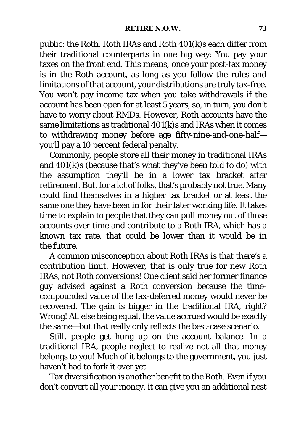public: the Roth. Roth IRAs and Roth 401(k)s each differ from their traditional counterparts in one big way: You pay your taxes on the front end. This means, once your post-tax money is in the Roth account, as long as you follow the rules and limitations of that account, your distributions are truly tax-free. You won't pay income tax when you take withdrawals if the account has been open for at least 5 years, so, in turn, you don't have to worry about RMDs. However, Roth accounts have the same limitations as traditional 401(k)s and IRAs when it comes to withdrawing money before age fifty-nine-and-one-half you'll pay a 10 percent federal penalty.

Commonly, people store all their money in traditional IRAs and 401(k)s (because that's what they've been told to do) with the assumption they'll be in a lower tax bracket after retirement. But, for a lot of folks, that's probably not true. Many could find themselves in a higher tax bracket or at least the same one they have been in for their later working life. It takes time to explain to people that they can pull money out of those accounts over time and contribute to a Roth IRA, which has a *known* tax rate, that could be lower than it would be in the future.

A common misconception about Roth IRAs is that there's a contribution limit. However, that is only true for new Roth IRAs, not Roth conversions! One client said her former finance guy advised against a Roth conversion because the timecompounded value of the tax-deferred money would never be recovered. The gain is bigger in the traditional IRA, right? Wrong! All else being equal, the value accrued would be exactly the same—but that really only reflects the best-case scenario.

Still, people get hung up on the account balance. In a traditional IRA, people neglect to realize not all that money belongs to you! Much of it belongs to the government, you just haven't had to fork it over yet.

Tax diversification is another benefit to the Roth. Even if you don't convert all your money, it can give you an additional nest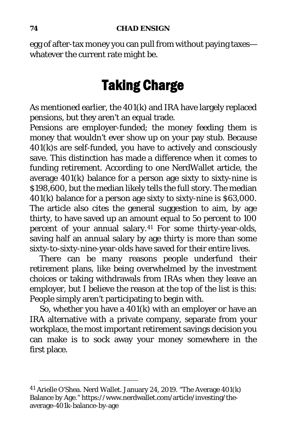egg of after-tax money you can pull from without paying taxes whatever the current rate might be.

# Taking Charge

As mentioned earlier, the 401(k) and IRA have largely replaced pensions, but they aren't an equal trade.

Pensions are employer-funded; the money feeding them is money that wouldn't ever show up on your pay stub. Because 401(k)s are self-funded, you have to actively and consciously save. This distinction has made a difference when it comes to funding retirement. According to one NerdWallet article, the average 401(k) balance for a person age sixty to sixty-nine is \$198,600, but the median likely tells the full story. The median 401(k) balance for a person age sixty to sixty-nine is \$63,000. The article also cites the general suggestion to aim, by age thirty, to have saved up an amount equal to 5o percent to 100 percent of your annual salary.[41](#page-88-0) For some thirty-year-olds, saving half an annual salary by age thirty is more than some sixty-to-sixty-nine-year-olds have saved for their entire lives.

There can be many reasons people underfund their retirement plans, like being overwhelmed by the investment choices or taking withdrawals from IRAs when they leave an employer, but I believe the reason at the top of the list is this: People simply aren't participating to begin with.

So, whether you have a  $401(k)$  with an employer or have an IRA alternative with a private company, separate from your workplace, the most important retirement savings decision you can make is to sock away your money somewhere in the first place.

<span id="page-88-0"></span><sup>41</sup> Arielle O'Shea. Nerd Wallet. January 24, 2019. "The Average 401(k) Balance by Age." https://www.nerdwallet.com/article/investing/theaverage-401k-balance-by-age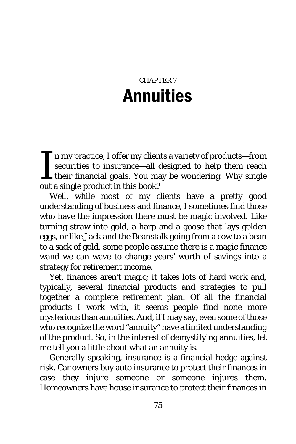# CHAPTER 7 Annuities

 $\blacksquare$  n my practice, I offer my clients a variety of products—from securities to insurance—all designed to help them reach their financial goals. You may be wondering: Why single out a single product in this book? I

Well, while most of my clients have a pretty good understanding of business and finance, I sometimes find those who have the impression there must be magic involved. Like turning straw into gold, a harp and a goose that lays golden eggs, or like Jack and the Beanstalk going from a cow to a bean to a sack of gold, some people assume there is a magic finance wand we can wave to change years' worth of savings into a strategy for retirement income.

Yet, finances aren't magic; it takes lots of hard work and, typically, several financial products and strategies to pull together a complete retirement plan. Of all the financial products I work with, it seems people find none more mysterious than annuities. And, if I may say, even some of those who recognize the word "annuity" have a limited understanding of the product. So, in the interest of demystifying annuities, let me tell you a little about what an annuity is.

Generally speaking, insurance is a financial hedge against risk. Car owners buy auto insurance to protect their finances in case they injure someone or someone injures them. Homeowners have house insurance to protect their finances in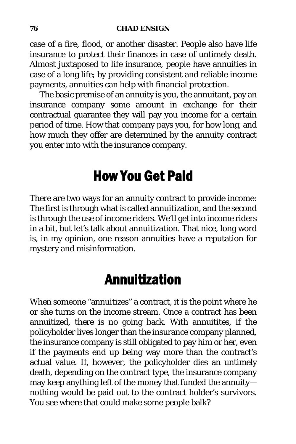case of a fire, flood, or another disaster. People also have life insurance to protect their finances in case of untimely death. Almost juxtaposed to life insurance, people have annuities in case of a long life; by providing consistent and reliable income payments, annuities can help with financial protection.

The basic premise of an annuity is you, the annuitant, pay an insurance company some amount in exchange for their contractual guarantee they will pay you income for a certain period of time. How that company pays you, for how long, and how much they offer are determined by the annuity contract you enter into with the insurance company.

# How You Get Paid

There are two ways for an annuity contract to provide income: The first is through what is called annuitization, and the second is through the use of income riders. We'll get into income riders in a bit, but let's talk about annuitization. That nice, long word is, in my opinion, one reason annuities have a reputation for mystery and misinformation.

# Annuitization

When someone "annuitizes" a contract, it is the point where he or she turns on the income stream. Once a contract has been annuitized, there is no going back. With annuitites, if the policyholder lives longer than the insurance company planned, the insurance company is still obligated to pay him or her, even if the payments end up being way more than the contract's actual value. If, however, the policyholder dies an untimely death, depending on the contract type, the insurance company may keep anything left of the money that funded the annuity nothing would be paid out to the contract holder's survivors. You see where that could make some people balk?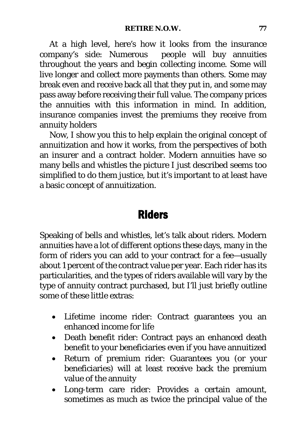At a high level, here's how it looks from the insurance company's side: Numerous people will buy annuities throughout the years and begin collecting income. Some will live longer and collect more payments than others. Some may break even and receive back all that they put in, and some may pass away before receiving their full value. The company prices the annuities with this information in mind. In addition, insurance companies invest the premiums they receive from annuity holders

Now, I show you this to help explain the original concept of annuitization and how it works, from the perspectives of both an insurer and a contract holder. Modern annuities have so many bells and whistles the picture I just described seems too simplified to do them justice, but it's important to at least have a basic concept of annuitization.

### Riders

Speaking of bells and whistles, let's talk about riders. Modern annuities have a lot of different options these days, many in the form of riders you can add to your contract for a fee—usually about 1 percent of the contract value per year. Each rider has its particularities, and the types of riders available will vary by the type of annuity contract purchased, but I'll just briefly outline some of these little extras:

- Lifetime income rider: Contract guarantees you an enhanced income for life
- Death benefit rider: Contract pays an enhanced death benefit to your beneficiaries even if you have annuitized
- Return of premium rider: Guarantees you (or your beneficiaries) will at least receive back the premium value of the annuity
- Long-term care rider: Provides a certain amount, sometimes as much as twice the principal value of the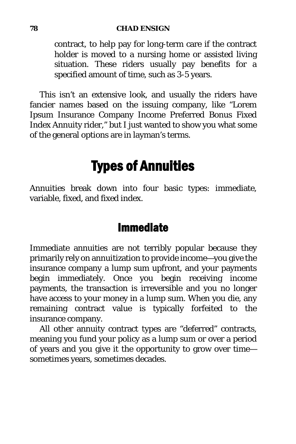#### **78 CHAD ENSIGN**

contract, to help pay for long-term care if the contract holder is moved to a nursing home or assisted living situation. These riders usually pay benefits for a specified amount of time, such as 3-5 years.

This isn't an extensive look, and usually the riders have fancier names based on the issuing company, like "Lorem Ipsum Insurance Company Income Preferred Bonus Fixed Index Annuity rider," but I just wanted to show you what some of the general options are in layman's terms.

## Types of Annuities

Annuities break down into four basic types: immediate, variable, fixed, and fixed index.

## Immediate

Immediate annuities are not terribly popular because they primarily rely on annuitization to provide income—you give the insurance company a lump sum upfront, and your payments begin immediately. Once you begin receiving income payments, the transaction is irreversible and you no longer have access to your money in a lump sum. When you die, any remaining contract value is typically forfeited to the insurance company.

All other annuity contract types are "deferred" contracts, meaning you fund your policy as a lump sum or over a period of years and you give it the opportunity to grow over time sometimes years, sometimes decades.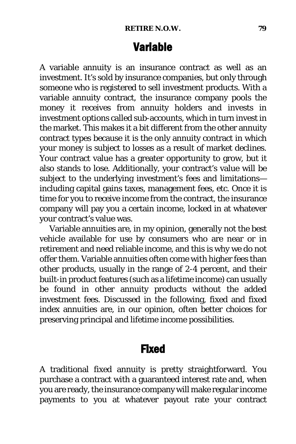## Variable

A variable annuity is an insurance contract as well as an investment. It's sold by insurance companies, but only through someone who is registered to sell investment products. With a variable annuity contract, the insurance company pools the money it receives from annuity holders and invests in investment options called sub-accounts, which in turn invest in the market. This makes it a bit different from the other annuity contract types because it is the only annuity contract in which your money is subject to losses as a result of market declines. Your contract value has a greater opportunity to grow, but it also stands to lose. Additionally, your contract's value will be subject to the underlying investment's fees and limitations including capital gains taxes, management fees, etc. Once it is time for you to receive income from the contract, the insurance company will pay you a certain income, locked in at whatever your contract's value was.

Variable annuities are, in my opinion, generally not the best vehicle available for use by consumers who are near or in retirement and need reliable income, and this is why we do not offer them. Variable annuities often come with higher fees than other products, usually in the range of 2-4 percent, and their built-in product features (such as a lifetime income) can usually be found in other annuity products without the added investment fees. Discussed in the following, fixed and fixed index annuities are, in our opinion, often better choices for preserving principal and lifetime income possibilities.

### Fixed

A traditional fixed annuity is pretty straightforward. You purchase a contract with a guaranteed interest rate and, when you are ready, the insurance company will make regular income payments to you at whatever payout rate your contract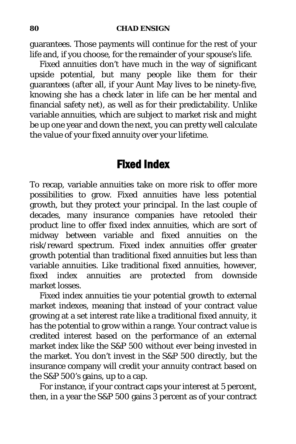guarantees. Those payments will continue for the rest of your life and, if you choose, for the remainder of your spouse's life.

Fixed annuities don't have much in the way of significant upside potential, but many people like them for their guarantees (after all, if your Aunt May lives to be ninety-five, knowing she has a check later in life can be her mental and financial safety net), as well as for their predictability. Unlike variable annuities, which are subject to market risk and might be up one year and down the next, you can pretty well calculate the value of your fixed annuity over your lifetime.

## Fixed Index

To recap, variable annuities take on more risk to offer more possibilities to grow. Fixed annuities have less potential growth, but they protect your principal. In the last couple of decades, many insurance companies have retooled their product line to offer fixed index annuities, which are sort of midway between variable and fixed annuities on the risk/reward spectrum. Fixed index annuities offer greater growth potential than traditional fixed annuities but less than variable annuities. Like traditional fixed annuities, however, fixed index annuities are protected from downside market losses.

Fixed index annuities tie your potential growth to external market indexes, meaning that instead of your contract value growing at a set interest rate like a traditional fixed annuity, it has the potential to grow within a range. Your contract value is credited interest based on the performance of an external market index like the S&P 500 without ever being invested in the market. You don't invest in the S&P 500 directly, but the insurance company will credit your annuity contract based on the S&P 500's gains, up to a cap.

For instance, if your contract caps your interest at 5 percent, then, in a year the S&P 500 gains 3 percent as of your contract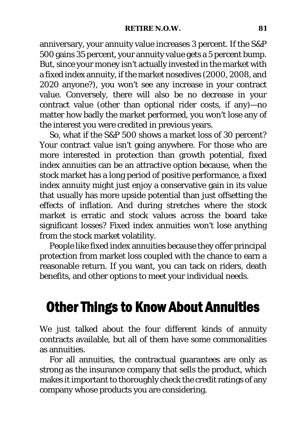anniversary, your annuity value increases 3 percent. If the S&P 500 gains 35 percent, your annuity value gets a 5 percent bump. But, since your money isn't actually invested in the market with a fixed index annuity, if the market nosedives (2000, 2008, and 2020 anyone?), you won't see any increase in your contract value. Conversely, there will also be no decrease in your contract value (other than optional rider costs, if any)—no matter how badly the market performed, you won't lose any of the interest you were credited in previous years.

So, what if the S&P 500 shows a market loss of 30 percent? Your contract value isn't going anywhere. For those who are more interested in protection than growth potential, fixed index annuities can be an attractive option because, when the stock market has a long period of positive performance, a fixed index annuity might just enjoy a conservative gain in its value that usually has more upside potential than just offsetting the effects of inflation. And during stretches where the stock market is erratic and stock values across the board take significant losses? Fixed index annuities won't lose anything from the stock market volatility.

People like fixed index annuities because they offer principal protection from market loss coupled with the chance to earn a reasonable return. If you want, you can tack on riders, death benefits, and other options to meet your individual needs.

## Other Things to Know About Annuities

We just talked about the four different kinds of annuity contracts available, but all of them have some commonalities as annuities.

For all annuities, the contractual guarantees are only as strong as the insurance company that sells the product, which makes it important to thoroughly check the credit ratings of any company whose products you are considering.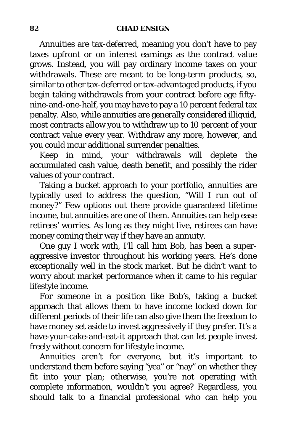Annuities are tax-deferred, meaning you don't have to pay taxes upfront or on interest earnings as the contract value grows. Instead, you will pay ordinary income taxes on your withdrawals. These are meant to be long-term products, so, similar to other tax-deferred or tax-advantaged products, if you begin taking withdrawals from your contract before age fiftynine-and-one-half, you may have to pay a 10 percent federal tax penalty. Also, while annuities are generally considered illiquid, most contracts allow you to withdraw up to 10 percent of your contract value every year. Withdraw any more, however, and you could incur additional surrender penalties.

Keep in mind, your withdrawals will deplete the accumulated cash value, death benefit, and possibly the rider values of your contract.

Taking a bucket approach to your portfolio, annuities are typically used to address the question, "Will I run out of money?" Few options out there provide guaranteed lifetime income, but annuities are one of them. Annuities can help ease retirees' worries. As long as they might live, retirees can have money coming their way if they have an annuity.

One guy I work with, I'll call him Bob, has been a superaggressive investor throughout his working years. He's done exceptionally well in the stock market. But he didn't want to worry about market performance when it came to his regular lifestyle income.

For someone in a position like Bob's, taking a bucket approach that allows them to have income locked down for different periods of their life can also give them the freedom to have money set aside to invest aggressively if they prefer. It's a have-your-cake-and-eat-it approach that can let people invest freely without concern for lifestyle income.

Annuities aren't for everyone, but it's important to understand them before saying "yea" or "nay" on whether they fit into your plan; otherwise, you're not operating with complete information, wouldn't you agree? Regardless, you should talk to a financial professional who can help you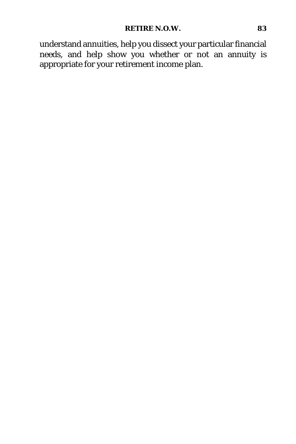understand annuities, help you dissect your particular financial needs, and help show you whether or not an annuity is appropriate for your retirement income plan.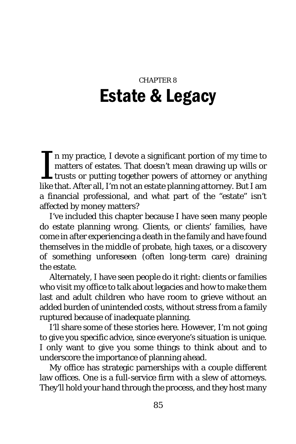# CHAPTER 8 Estate & Legacy

n my practice, I devote a significant portion of my time to matters of estates. That doesn't mean drawing up wills or  $\mathsf{L}$  trusts or putting together powers of attorney or anything In my practice, I devote a significant portion of my time to matters of estates. That doesn't mean drawing up wills or trusts or putting together powers of attorney or anything like that. After all, I'm not an estate plann a financial professional, and what part of the "estate" isn't affected by money matters?

I've included this chapter because I have seen many people do estate planning wrong. Clients, or clients' families, have come in after experiencing a death in the family and have found themselves in the middle of probate, high taxes, or a discovery of something unforeseen (often long-term care) draining the estate.

Alternately, I have seen people do it right: clients or families who visit my office to talk about legacies and how to make them last and adult children who have room to grieve without an added burden of unintended costs, without stress from a family ruptured because of inadequate planning.

I'll share some of these stories here. However, I'm not going to give you specific advice, since everyone's situation is unique. I only want to give you some things to think about and to underscore the importance of planning ahead.

My office has strategic parnerships with a couple different law offices. One is a full-service firm with a slew of attorneys. They'll hold your hand through the process, and they host many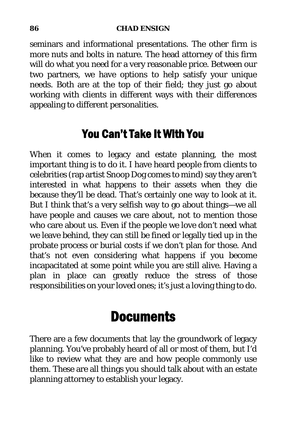#### **86 CHAD ENSIGN**

seminars and informational presentations. The other firm is more nuts and bolts in nature. The head attorney of this firm will do what you need for a very reasonable price. Between our two partners, we have options to help satisfy your unique needs. Both are at the top of their field; they just go about working with clients in different ways with their differences appealing to different personalities.

## You Can't Take It With You

When it comes to legacy and estate planning, the most important thing is to *do it*. I have heard people from clients to celebrities (rap artist Snoop Dog comes to mind) say they aren't interested in what happens to their assets when they die because they'll be dead. That's certainly one way to look at it. But I think that's a very selfish way to go about things—we all have people and causes we care about, not to mention those who care about us. Even if the people we love don't *need* what we leave behind, they can still be fined or legally tied up in the probate process or burial costs if we don't plan for those. And that's not even considering what happens if you become incapacitated at some point while you are still alive. Having a plan in place can greatly reduce the stress of those responsibilities on your loved ones; it's just a loving thing to do.

## **Documents**

There are a few documents that lay the groundwork of legacy planning. You've probably heard of all or most of them, but I'd like to review what they are and how people commonly use them. These are all things you should talk about with an estate planning attorney to establish your legacy.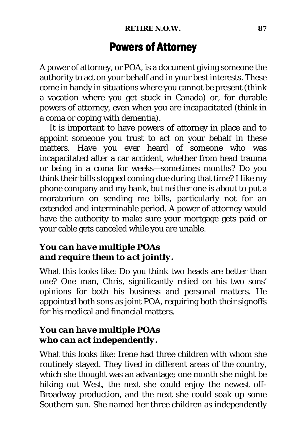## Powers of Attorney

A power of attorney, or POA, is a document giving someone the authority to act on your behalf and in your best interests. These come in handy in situations where you cannot be present (think a vacation where you get stuck in Canada) or, for durable powers of attorney, even when you are incapacitated (think in a coma or coping with dementia).

It is important to have powers of attorney in place and to appoint someone you trust to act on your behalf in these matters. Have you ever heard of someone who was incapacitated after a car accident, whether from head trauma or being in a coma for weeks—sometimes months? Do you think their bills stopped coming due during that time? I like my phone company and my bank, but neither one is about to put a moratorium on sending me bills, particularly not for an extended and interminable period. A power of attorney would have the authority to make sure your mortgage gets paid or your cable gets canceled while you are unable.

### *You can have multiple POAs and require them to act jointly.*

What this looks like: Do you think two heads are better than one? One man, Chris, significantly relied on his two sons' opinions for both his business and personal matters. He appointed both sons as joint POA, requiring both their signoffs for his medical and financial matters.

### *You can have multiple POAs who can act independently.*

What this looks like: Irene had three children with whom she routinely stayed. They lived in different areas of the country, which she thought was an advantage; one month she might be hiking out West, the next she could enjoy the newest off-Broadway production, and the next she could soak up some Southern sun. She named her three children as independently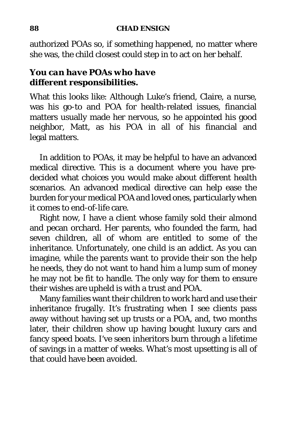authorized POAs so, if something happened, no matter where she was, the child closest could step in to act on her behalf.

### *You can have POAs who have different responsibilities.*

What this looks like: Although Luke's friend, Claire, a nurse, was his go-to and POA for health-related issues, financial matters usually made her nervous, so he appointed his good neighbor, Matt, as his POA in all of his financial and legal matters.

In addition to POAs, it may be helpful to have an advanced medical directive. This is a document where you have predecided what choices you would make about different health scenarios. An advanced medical directive can help ease the burden for your medical POA and loved ones, particularly when it comes to end-of-life care.

Right now, I have a client whose family sold their almond and pecan orchard. Her parents, who founded the farm, had seven children, all of whom are entitled to some of the inheritance. Unfortunately, one child is an addict. As you can imagine, while the parents want to provide their son the help he needs, they do not want to hand him a lump sum of money he may not be fit to handle. The only way for them to ensure their wishes are upheld is with a trust and POA.

Many families want their children to work hard and use their inheritance frugally. It's frustrating when I see clients pass away without having set up trusts or a POA, and, two months later, their children show up having bought luxury cars and fancy speed boats. I've seen inheritors burn through a lifetime of savings in a matter of weeks. What's most upsetting is all of that could have been avoided.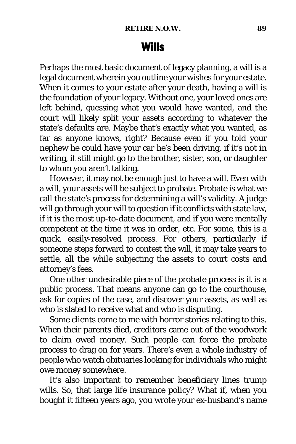## Wills

Perhaps the most basic document of legacy planning, a will is a legal document wherein you outline your wishes for your estate. When it comes to your estate after your death, having a will is the foundation of your legacy. Without one, your loved ones are left behind, guessing what you would have wanted, and the court will likely split your assets according to whatever the state's defaults are. Maybe that's exactly what you wanted, as far as anyone knows, right? Because even if you told your nephew he could have your car he's been driving, if it's not in writing, it still might go to the brother, sister, son, or daughter to whom you aren't talking.

However, it may not be enough just to have a will. Even with a will, your assets will be subject to probate. Probate is what we call the state's process for determining a will's validity. A judge will go through your will to question if it conflicts with state law, if it is the most up-to-date document, and if you were mentally competent at the time it was in order, etc. For some, this is a quick, easily-resolved process. For others, particularly if someone steps forward to contest the will, it may take years to settle, all the while subjecting the assets to court costs and attorney's fees.

One other undesirable piece of the probate process is it is a public process. That means anyone can go to the courthouse, ask for copies of the case, and discover your assets, as well as who is slated to receive what and who is disputing.

Some clients come to me with horror stories relating to this. When their parents died, creditors came out of the woodwork to claim owed money. Such people can force the probate process to drag on for years. There's even a whole industry of people who watch obituaries looking for individuals who might owe money somewhere.

It's also important to remember beneficiary lines trump wills. So, that large life insurance policy? What if, when you bought it fifteen years ago, you wrote your ex-husband's name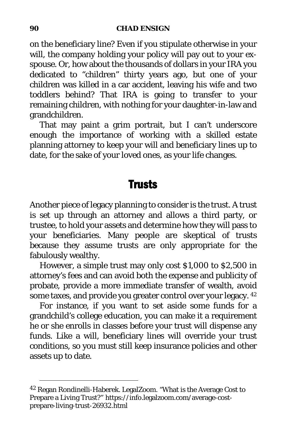on the beneficiary line? Even if you stipulate otherwise in your will, the company holding your policy will pay out to your exspouse. Or, how about the thousands of dollars in your IRA you dedicated to "children" thirty years ago, but one of your children was killed in a car accident, leaving his wife and two toddlers behind? That IRA is going to transfer to your remaining children, with nothing for your daughter-in-law and grandchildren.

That may paint a grim portrait, but I can't underscore enough the importance of working with a skilled estate planning attorney to keep your will and beneficiary lines up to date, for the sake of your loved ones, as your life changes.

## **Trusts**

Another piece of legacy planning to consider is the trust. A trust is set up through an attorney and allows a third party, or trustee, to hold your assets and determine how they will pass to your beneficiaries. Many people are skeptical of trusts because they assume trusts are only appropriate for the fabulously wealthy.

However, a simple trust may only cost \$1,000 to \$2,500 in attorney's fees and can avoid both the expense and publicity of probate, provide a more immediate transfer of wealth, avoid some taxes, and provide you greater control over your legacy. [42](#page-104-0)

For instance, if you want to set aside some funds for a grandchild's college education, you can make it a requirement he or she enrolls in classes before your trust will dispense any funds. Like a will, beneficiary lines will override your trust conditions, so you must still keep insurance policies and other assets up to date.

<span id="page-104-0"></span><sup>42</sup> Regan Rondinelli-Haberek. LegalZoom. "What is the Average Cost to Prepare a Living Trust?" https://info.legalzoom.com/average-costprepare-living-trust-26932.html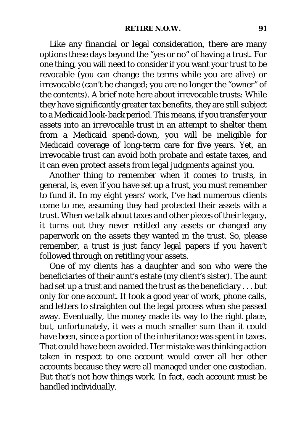Like any financial or legal consideration, there are many options these days beyond the "yes or no" of having a trust. For one thing, you will need to consider if you want your trust to be revocable (you can change the terms while you are alive) or irrevocable (can't be changed; you are no longer the "owner" of the contents). A brief note here about irrevocable trusts: While they have significantly greater tax benefits, they are still subject to a Medicaid look-back period. This means, if you transfer your assets into an irrevocable trust in an attempt to shelter them from a Medicaid spend-down, you will be ineligible for Medicaid coverage of long-term care for five years. Yet, an irrevocable trust can avoid both probate and estate taxes, and it can even protect assets from legal judgments against you.

Another thing to remember when it comes to trusts, in general, is, even if you have set up a trust, you must remember to fund it. In my eight years' work, I've had numerous clients come to me, assuming they had protected their assets with a trust. When we talk about taxes and other pieces of their legacy, it turns out they never retitled any assets or changed any paperwork on the assets they wanted in the trust. So, please remember, a trust is just fancy legal papers if you haven't followed through on retitling your assets.

One of my clients has a daughter and son who were the beneficiaries of their aunt's estate (my client's sister). The aunt had set up a trust and named the trust as the beneficiary . . . but *only for one account*. It took a good year of work, phone calls, and letters to straighten out the legal process when she passed away. Eventually, the money made its way to the right place, but, unfortunately, it was a much smaller sum than it could have been, since a portion of the inheritance was spent in taxes. That could have been avoided. Her mistake was thinking action taken in respect to one account would cover all her other accounts because they were all managed under one custodian. But that's not how things work. In fact, each account must be handled individually.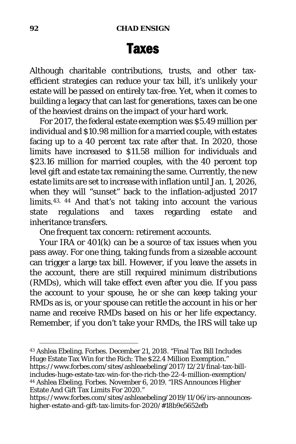## Taxes

Although charitable contributions, trusts, and other taxefficient strategies can reduce your tax bill, it's unlikely your estate will be passed on entirely tax-free. Yet, when it comes to building a legacy that can last for generations, taxes can be one of the heaviest drains on the impact of your hard work.

For 2017, the federal estate exemption was \$5.49 million per individual and \$10.98 million for a married couple, with estates facing up to a 40 percent tax rate after that. In 2020, those limits have increased to \$11.58 million for individuals and \$23.16 million for married couples, with the 40 percent top level gift and estate tax remaining the same. Currently, the new estate limits are set to increase with inflation until Jan. 1, 2026, when they will "sunset" back to the inflation-adjusted 2017 limits.[43](#page-106-0), [44](#page-106-1) And that's not taking into account the various state regulations and taxes regarding estate and inheritance transfers.

One frequent tax concern: retirement accounts.

Your IRA or 401(k) can be a source of tax issues when you pass away. For one thing, taking funds from a sizeable account can trigger a large tax bill. However, if you leave the assets in the account, there are still required minimum distributions (RMDs), which will take effect even after you die. If you pass the account to your spouse, he or she can keep taking your RMDs as is, or your spouse can retitle the account in his or her name and receive RMDs based on his or her life expectancy. Remember, if you don't take your RMDs, the IRS will take up

<span id="page-106-0"></span><sup>43</sup> Ashlea Ebeling. Forbes. December 21, 2018. "Final Tax Bill Includes Huge Estate Tax Win for the Rich: The \$22.4 Million Exemption." https://www.forbes.com/sites/ashleaebeling/2017/12/21/final-tax-billincludes-huge-estate-tax-win-for-the-rich-the-22-4-million-exemption/ <sup>44</sup> Ashlea Ebeling. Forbes. November 6, 2019. "IRS Announces Higher Estate And Gift Tax Limits For 2020."

<span id="page-106-1"></span>https://www.forbes.com/sites/ashleaebeling/2019/11/06/irs-announceshigher-estate-and-gift-tax-limits-for-2020/#18b9e5652efb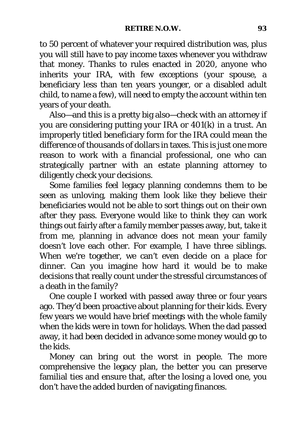to 50 percent of whatever your required distribution was, plus you will still have to pay income taxes whenever you withdraw that money. Thanks to rules enacted in 2020, anyone who inherits your IRA, with few exceptions (your spouse, a beneficiary less than ten years younger, or a disabled adult child, to name a few), will need to empty the account within ten years of your death.

Also—and this is a pretty big also—check with an attorney if you are considering putting your IRA or 401(k) in a trust. An improperly titled beneficiary form for the IRA could mean the difference of thousands of dollars in taxes. This is just one more reason to work with a financial professional, one who can strategically partner with an estate planning attorney to diligently check your decisions.

Some families feel legacy planning condemns them to be seen as unloving, making them look like they believe their beneficiaries would not be able to sort things out on their own after they pass. Everyone would like to think they can work things out fairly after a family member passes away, but, take it from me, planning in advance does not mean your family doesn't love each other. For example, I have three siblings. When we're together, we can't even decide on a place for dinner. Can you imagine how hard it would be to make decisions that really count under the stressful circumstances of a death in the family?

One couple I worked with passed away three or four years ago. They'd been proactive about planning for their kids. Every few years we would have brief meetings with the whole family when the kids were in town for holidays. When the dad passed away, it had been decided in advance some money would go to the kids.

Money can bring out the worst in people. The more comprehensive the legacy plan, the better you can preserve familial ties and ensure that, after the losing a loved one, you don't have the added burden of navigating finances.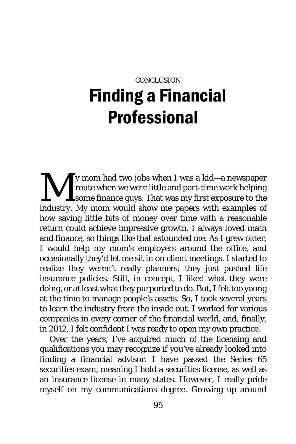## **CONCLUSION** Finding a Financial Professional

y mom had two jobs when I was a kid—a newspaper route when we were little and part-time work helping some finance guys. That was my first exposure to the industry. My mom would show me papers with examples of how saving little bits of money over time with a reasonable return could achieve impressive growth. I always loved math and finance, so things like that astounded me. As I grew older, I would help my mom's employers around the office, and occasionally they'd let me sit in on client meetings. I started to realize they weren't really planners; they just pushed life insurance policies. Still, in concept, I liked what they were doing, or at least what they purported to do. But, I felt too young at the time to manage people's assets. So, I took several years to learn the industry from the inside out. I worked for various companies in every corner of the financial world, and, finally, in 2012, I felt confident I was ready to open my own practice. M

Over the years, I've acquired much of the licensing and qualifications you may recognize if you've already looked into finding a financial advisor. I have passed the Series 65 securities exam, meaning I hold a securities license, as well as an insurance license in many states. However, I really pride myself on my communications degree. Growing up around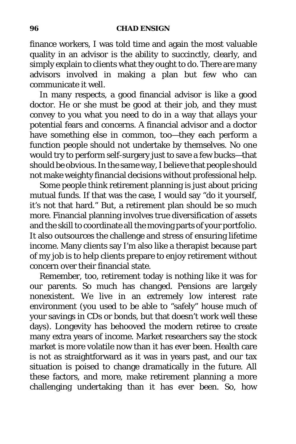finance workers, I was told time and again the most valuable quality in an advisor is the ability to succinctly, clearly, and simply explain to clients what they ought to do. There are many advisors involved in making a plan but few who can communicate it well.

In many respects, a good financial advisor is like a good doctor. He or she must be good at their job, and they must convey to you what you need to do in a way that allays your potential fears and concerns. A financial advisor and a doctor have something else in common, too—they each perform a function people should not undertake by themselves. No one would try to perform self-surgery just to save a few bucks—that should be obvious. In the same way, I believe that people should not make weighty financial decisions without professional help.

Some people think retirement planning is just about pricing mutual funds. If that was the case, I would say "do it yourself, it's not that hard." But, a retirement plan should be so much more. Financial planning involves true diversification of assets and the skill to coordinate all the moving parts of your portfolio. It also outsources the challenge and stress of ensuring lifetime income. Many clients say I'm also like a therapist because part of my job is to help clients prepare to enjoy retirement without concern over their financial state.

Remember, too, retirement today is nothing like it was for our parents. So much has changed. Pensions are largely nonexistent. We live in an extremely low interest rate environment (you used to be able to "safely" house much of your savings in CDs or bonds, but that doesn't work well these days). Longevity has behooved the modern retiree to create many extra years of income. Market researchers say the stock market is more volatile now than it has ever been. Health care is not as straightforward as it was in years past, and our tax situation is poised to change dramatically in the future. All these factors, and more, make retirement planning a more challenging undertaking than it has ever been. So, how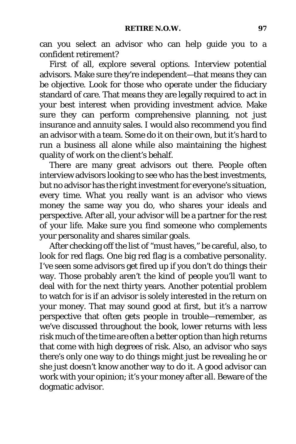can you select an advisor who can help guide you to a confident retirement?

First of all, explore several options. Interview potential advisors. Make sure they're independent—that means they can be objective. Look for those who operate under the fiduciary standard of care. That means they are legally required to act in your best interest when providing investment advice. Make sure they can perform comprehensive planning, not just insurance and annuity sales. I would also recommend you find an advisor with a team. Some do it on their own, but it's hard to run a business all alone while also maintaining the highest quality of work on the client's behalf.

There are many great advisors out there. People often interview advisors looking to see who has the best investments, but no advisor has the right investment for everyone's situation, every time. What you really want is an advisor who views money the same way you do, who shares your ideals and perspective. After all, your advisor will be a partner for the rest of your life. Make sure you find someone who complements your personality and shares similar goals.

After checking off the list of "must haves," be careful, also, to look for red flags. One big red flag is a combative personality. I've seen some advisors get fired up if you don't do things their way. Those probably aren't the kind of people you'll want to deal with for the next thirty years. Another potential problem to watch for is if an advisor is solely interested in the return on your money. That may sound good at first, but it's a narrow perspective that often gets people in trouble—remember, as we've discussed throughout the book, lower returns with less risk much of the time are often a better option than high returns that come with high degrees of risk. Also, an advisor who says there's only one way to do things might just be revealing he or she just doesn't know another way to do it. A good advisor can work with your opinion; it's your money after all. Beware of the dogmatic advisor.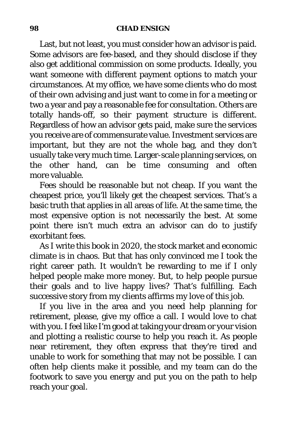Last, but not least, you must consider how an advisor is paid. Some advisors are fee-based, and they should disclose if they also get additional commission on some products. Ideally, you want someone with different payment options to match your circumstances. At my office, we have some clients who do most of their own advising and just want to come in for a meeting or two a year and pay a reasonable fee for consultation. Others are totally hands-off, so their payment structure is different. Regardless of how an advisor gets paid, make sure the services you receive are of commensurate value. Investment services are important, but they are not the whole bag, and they don't usually take very much time. Larger-scale planning services, on the other hand, can be time consuming and often more valuable.

Fees should be reasonable but not cheap. If you want the cheapest price, you'll likely get the cheapest services. That's a basic truth that applies in all areas of life. At the same time, the most expensive option is not necessarily the best. At some point there isn't much extra an advisor can do to justify exorbitant fees.

As I write this book in 2020, the stock market and economic climate is in chaos. But that has only convinced me I took the right career path. It wouldn't be rewarding to me if I only helped people make more money. But, to help people pursue their goals and to live happy lives? That's fulfilling. Each successive story from my clients affirms my love of this job.

If you live in the area and you need help planning for retirement, please, give my office a call. I would love to chat with you. I feel like I'm good at taking your dream or your vision and plotting a realistic course to help you reach it. As people near retirement, they often express that they're tired and unable to work for something that may not be possible. I can often help clients make it possible, and my team can do the footwork to save you energy and put you on the path to help reach your goal.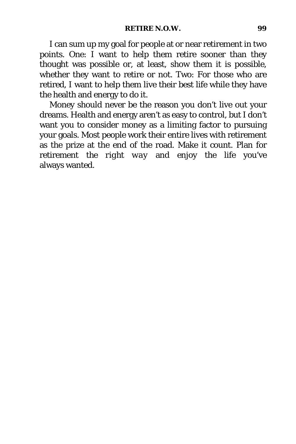I can sum up my goal for people at or near retirement in two points. One: I want to help them retire sooner than they thought was possible or, at least, show them it is possible, whether they want to retire or not. Two: For those who are retired, I want to help them live their best life while they have the health and energy to do it.

Money should never be the reason you don't live out your dreams. Health and energy aren't as easy to control, but I don't want you to consider money as a limiting factor to pursuing your goals. Most people work their entire lives with retirement as the prize at the end of the road. Make it count. Plan for retirement *the right way* and enjoy the life you've always wanted.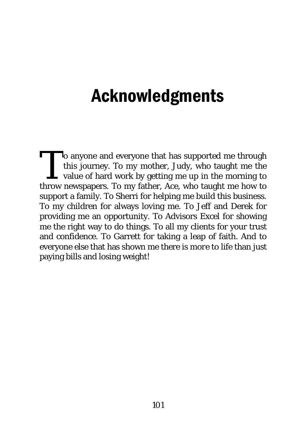## Acknowledgments

**No** anyone and everyone that has supported me through this journey. To my mother, Judy, who taught me the value of hard work by getting me up in the morning to To anyone and everyone that has supported me through this journey. To my mother, Judy, who taught me the value of hard work by getting me up in the morning to throw newspapers. To my father, Ace, who taught me how to support a family. To Sherri for helping me build this business. To my children for always loving me. To Jeff and Derek for providing me an opportunity. To Advisors Excel for showing me the right way to do things. To all my clients for your trust and confidence. To Garrett for taking a leap of faith. And to everyone else that has shown me there is *more* to life than just paying bills and losing weight!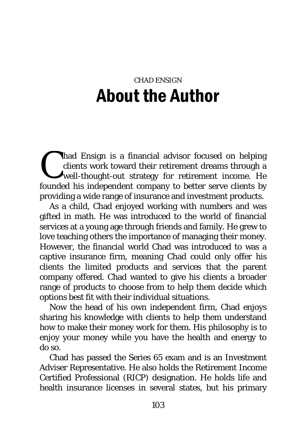## CHAD ENSIGN About the Author

had Ensign is a financial advisor focused on helping<br>clients work toward their retirement dreams through a<br>well-thought-out strategy for retirement income. He<br>founded bis independent company to better serve clients by clients work toward their retirement dreams through a well-thought-out strategy for retirement income. He founded his independent company to better serve clients by providing a wide range of insurance and investment products.

As a child, Chad enjoyed working with numbers and was gifted in math. He was introduced to the world of financial services at a young age through friends and family. He grew to love teaching others the importance of managing their money. However, the financial world Chad was introduced to was a captive insurance firm, meaning Chad could only offer his clients the limited products and services that the parent company offered. Chad wanted to give his clients a broader range of products to choose from to help them decide which options best fit with their individual situations.

Now the head of his own independent firm, Chad enjoys sharing his knowledge with clients to help them understand how to make their money work for them. His philosophy is to enjoy your money while you have the health and energy to do so.

Chad has passed the Series 65 exam and is an Investment Adviser Representative. He also holds the Retirement Income Certified Professional (RICP) designation. He holds life and health insurance licenses in several states, but his primary